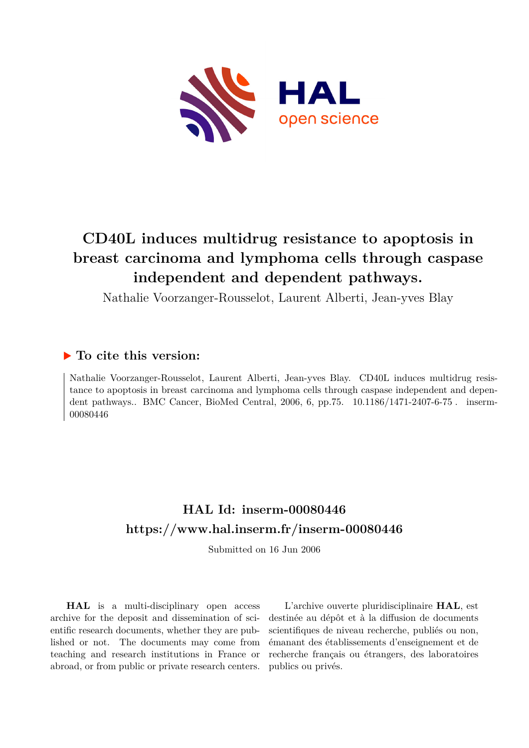

# **CD40L induces multidrug resistance to apoptosis in breast carcinoma and lymphoma cells through caspase independent and dependent pathways.**

Nathalie Voorzanger-Rousselot, Laurent Alberti, Jean-yves Blay

## **To cite this version:**

Nathalie Voorzanger-Rousselot, Laurent Alberti, Jean-yves Blay. CD40L induces multidrug resistance to apoptosis in breast carcinoma and lymphoma cells through caspase independent and dependent pathways.. BMC Cancer, BioMed Central, 2006, 6, pp.75. 10.1186/1471-2407-6-75. inserm-00080446

# **HAL Id: inserm-00080446 <https://www.hal.inserm.fr/inserm-00080446>**

Submitted on 16 Jun 2006

**HAL** is a multi-disciplinary open access archive for the deposit and dissemination of scientific research documents, whether they are published or not. The documents may come from teaching and research institutions in France or abroad, or from public or private research centers.

L'archive ouverte pluridisciplinaire **HAL**, est destinée au dépôt et à la diffusion de documents scientifiques de niveau recherche, publiés ou non, émanant des établissements d'enseignement et de recherche français ou étrangers, des laboratoires publics ou privés.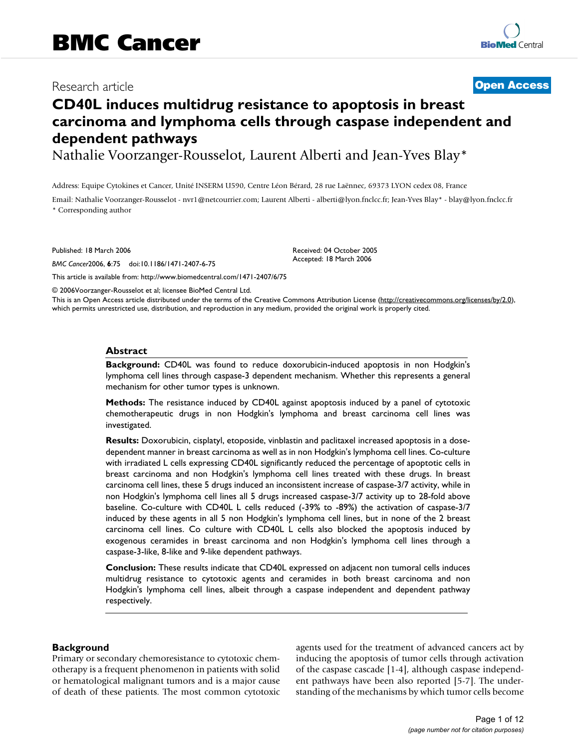## Research article **Contract Contract Contract Contract Contract Contract Contract Contract Contract Contract Contract Contract Contract Contract Contract Contract Contract Contract Contract Contract Contract Contract Contra**

## **CD40L induces multidrug resistance to apoptosis in breast carcinoma and lymphoma cells through caspase independent and dependent pathways**

Nathalie Voorzanger-Rousselot, Laurent Alberti and Jean-Yves Blay\*

Address: Equipe Cytokines et Cancer, Unité INSERM U590, Centre Léon Bérard, 28 rue Laënnec, 69373 LYON cedex 08, France

Email: Nathalie Voorzanger-Rousselot - nvr1@netcourrier.com; Laurent Alberti - alberti@lyon.fnclcc.fr; Jean-Yves Blay\* - blay@lyon.fnclcc.fr \* Corresponding author

> Received: 04 October 2005 Accepted: 18 March 2006

Published: 18 March 2006

*BMC Cancer*2006, **6**:75 doi:10.1186/1471-2407-6-75

[This article is available from: http://www.biomedcentral.com/1471-2407/6/75](http://www.biomedcentral.com/1471-2407/6/75)

© 2006Voorzanger-Rousselot et al; licensee BioMed Central Ltd.

This is an Open Access article distributed under the terms of the Creative Commons Attribution License [\(http://creativecommons.org/licenses/by/2.0\)](http://creativecommons.org/licenses/by/2.0), which permits unrestricted use, distribution, and reproduction in any medium, provided the original work is properly cited.

#### **Abstract**

**Background:** CD40L was found to reduce doxorubicin-induced apoptosis in non Hodgkin's lymphoma cell lines through caspase-3 dependent mechanism. Whether this represents a general mechanism for other tumor types is unknown.

**Methods:** The resistance induced by CD40L against apoptosis induced by a panel of cytotoxic chemotherapeutic drugs in non Hodgkin's lymphoma and breast carcinoma cell lines was investigated.

**Results:** Doxorubicin, cisplatyl, etoposide, vinblastin and paclitaxel increased apoptosis in a dosedependent manner in breast carcinoma as well as in non Hodgkin's lymphoma cell lines. Co-culture with irradiated L cells expressing CD40L significantly reduced the percentage of apoptotic cells in breast carcinoma and non Hodgkin's lymphoma cell lines treated with these drugs. In breast carcinoma cell lines, these 5 drugs induced an inconsistent increase of caspase-3/7 activity, while in non Hodgkin's lymphoma cell lines all 5 drugs increased caspase-3/7 activity up to 28-fold above baseline. Co-culture with CD40L L cells reduced (-39% to -89%) the activation of caspase-3/7 induced by these agents in all 5 non Hodgkin's lymphoma cell lines, but in none of the 2 breast carcinoma cell lines. Co culture with CD40L L cells also blocked the apoptosis induced by exogenous ceramides in breast carcinoma and non Hodgkin's lymphoma cell lines through a caspase-3-like, 8-like and 9-like dependent pathways.

**Conclusion:** These results indicate that CD40L expressed on adjacent non tumoral cells induces multidrug resistance to cytotoxic agents and ceramides in both breast carcinoma and non Hodgkin's lymphoma cell lines, albeit through a caspase independent and dependent pathway respectively.

#### **Background**

Primary or secondary chemoresistance to cytotoxic chemotherapy is a frequent phenomenon in patients with solid or hematological malignant tumors and is a major cause of death of these patients. The most common cytotoxic agents used for the treatment of advanced cancers act by inducing the apoptosis of tumor cells through activation of the caspase cascade [1-4], although caspase independent pathways have been also reported [5-7]. The understanding of the mechanisms by which tumor cells become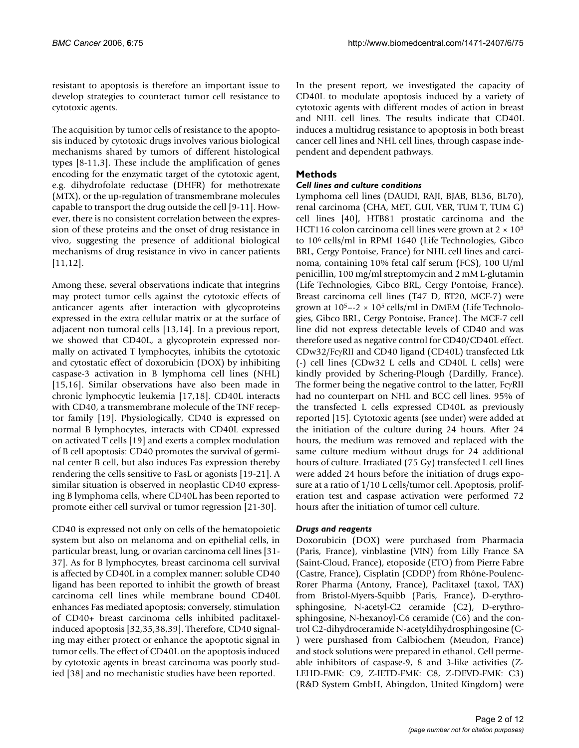resistant to apoptosis is therefore an important issue to develop strategies to counteract tumor cell resistance to cytotoxic agents.

The acquisition by tumor cells of resistance to the apoptosis induced by cytotoxic drugs involves various biological mechanisms shared by tumors of different histological types [8-11,3]. These include the amplification of genes encoding for the enzymatic target of the cytotoxic agent, e.g. dihydrofolate reductase (DHFR) for methotrexate (MTX), or the up-regulation of transmembrane molecules capable to transport the drug outside the cell [9-11]. However, there is no consistent correlation between the expression of these proteins and the onset of drug resistance in vivo, suggesting the presence of additional biological mechanisms of drug resistance in vivo in cancer patients [11,12].

Among these, several observations indicate that integrins may protect tumor cells against the cytotoxic effects of anticancer agents after interaction with glycoproteins expressed in the extra cellular matrix or at the surface of adjacent non tumoral cells [13,14]. In a previous report, we showed that CD40L, a glycoprotein expressed normally on activated T lymphocytes, inhibits the cytotoxic and cytostatic effect of doxorubicin (DOX) by inhibiting caspase-3 activation in B lymphoma cell lines (NHL) [15,16]. Similar observations have also been made in chronic lymphocytic leukemia [17,18]. CD40L interacts with CD40, a transmembrane molecule of the TNF receptor family [19]. Physiologically, CD40 is expressed on normal B lymphocytes, interacts with CD40L expressed on activated T cells [19] and exerts a complex modulation of B cell apoptosis: CD40 promotes the survival of germinal center B cell, but also induces Fas expression thereby rendering the cells sensitive to FasL or agonists [19-21]. A similar situation is observed in neoplastic CD40 expressing B lymphoma cells, where CD40L has been reported to promote either cell survival or tumor regression [21-30].

CD40 is expressed not only on cells of the hematopoietic system but also on melanoma and on epithelial cells, in particular breast, lung, or ovarian carcinoma cell lines [31- 37]. As for B lymphocytes, breast carcinoma cell survival is affected by CD40L in a complex manner: soluble CD40 ligand has been reported to inhibit the growth of breast carcinoma cell lines while membrane bound CD40L enhances Fas mediated apoptosis; conversely, stimulation of CD40+ breast carcinoma cells inhibited paclitaxelinduced apoptosis [32,35,38,39]. Therefore, CD40 signaling may either protect or enhance the apoptotic signal in tumor cells. The effect of CD40L on the apoptosis induced by cytotoxic agents in breast carcinoma was poorly studied [38] and no mechanistic studies have been reported.

In the present report, we investigated the capacity of CD40L to modulate apoptosis induced by a variety of cytotoxic agents with different modes of action in breast and NHL cell lines. The results indicate that CD40L induces a multidrug resistance to apoptosis in both breast cancer cell lines and NHL cell lines, through caspase independent and dependent pathways.

### **Methods**

#### *Cell lines and culture conditions*

Lymphoma cell lines (DAUDI, RAJI, BJAB, BL36, BL70), renal carcinoma (CHA, MET, GUI, VER, TUM T, TUM G) cell lines [40], HTB81 prostatic carcinoma and the HCT116 colon carcinoma cell lines were grown at  $2 \times 10^5$ to 10<sup>6</sup> cells/ml in RPMI 1640 (Life Technologies, Gibco BRL, Cergy Pontoise, France) for NHL cell lines and carcinoma, containing 10% fetal calf serum (FCS), 100 U/ml penicillin, 100 mg/ml streptomycin and 2 mM L-glutamin (Life Technologies, Gibco BRL, Cergy Pontoise, France). Breast carcinoma cell lines (T47 D, BT20, MCF-7) were grown at  $10^{5}$ --2 ×  $10^{5}$  cells/ml in DMEM (Life Technologies, Gibco BRL, Cergy Pontoise, France). The MCF-7 cell line did not express detectable levels of CD40 and was therefore used as negative control for CD40/CD40L effect. CDw32/FcγRII and CD40 ligand (CD40L) transfected Ltk (-) cell lines (CDw32 L cells and CD40L L cells) were kindly provided by Schering-Plough (Dardilly, France). The former being the negative control to the latter, FcγRII had no counterpart on NHL and BCC cell lines. 95% of the transfected L cells expressed CD40L as previously reported [15]. Cytotoxic agents (see under) were added at the initiation of the culture during 24 hours. After 24 hours, the medium was removed and replaced with the same culture medium without drugs for 24 additional hours of culture. Irradiated (75 Gy) transfected L cell lines were added 24 hours before the initiation of drugs exposure at a ratio of 1/10 L cells/tumor cell. Apoptosis, proliferation test and caspase activation were performed 72 hours after the initiation of tumor cell culture.

#### *Drugs and reagents*

Doxorubicin (DOX) were purchased from Pharmacia (Paris, France), vinblastine (VIN) from Lilly France SA (Saint-Cloud, France), etoposide (ETO) from Pierre Fabre (Castre, France), Cisplatin (CDDP) from Rhône-Poulenc-Rorer Pharma (Antony, France), Paclitaxel (taxol, TAX) from Bristol-Myers-Squibb (Paris, France), D-erythrosphingosine, N-acetyl-C2 ceramide (C2), D-erythrosphingosine, N-hexanoyl-C6 ceramide (C6) and the control C2-dihydroceramide N-acetyldihydrosphingosine (C- ) were purshased from Calbiochem (Meudon, France) and stock solutions were prepared in ethanol. Cell permeable inhibitors of caspase-9, 8 and 3-like activities (Z-LEHD-FMK: C9, Z-IETD-FMK: C8, Z-DEVD-FMK: C3) (R&D System GmbH, Abingdon, United Kingdom) were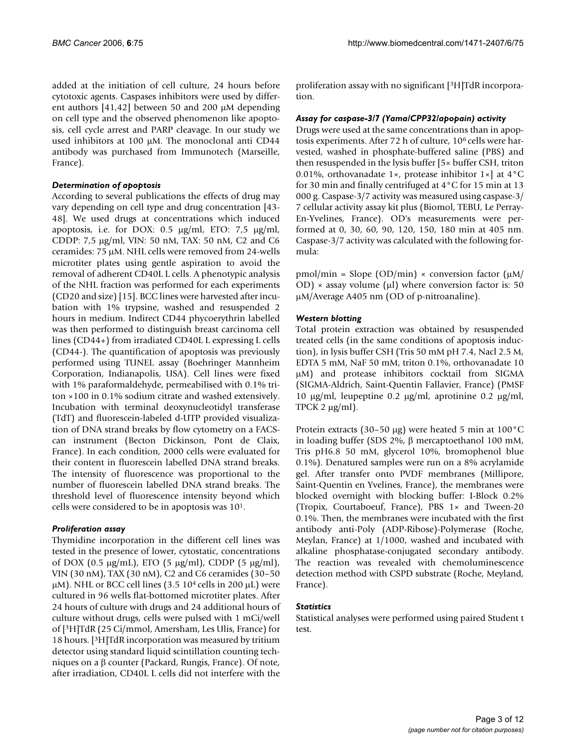added at the initiation of cell culture, 24 hours before cytotoxic agents. Caspases inhibitors were used by different authors [41,42] between 50 and 200 µM depending on cell type and the observed phenomenon like apoptosis, cell cycle arrest and PARP cleavage. In our study we used inhibitors at 100 µM. The monoclonal anti CD44 antibody was purchased from Immunotech (Marseille, France).

#### *Determination of apoptosis*

According to several publications the effects of drug may vary depending on cell type and drug concentration [43- 48]. We used drugs at concentrations which induced apoptosis, i.e. for DOX: 0.5 µg/ml, ETO: 7,5 µg/ml, CDDP: 7,5 µg/ml, VIN: 50 nM, TAX: 50 nM, C2 and C6 ceramides: 75 µM. NHL cells were removed from 24-wells microtiter plates using gentle aspiration to avoid the removal of adherent CD40L L cells. A phenotypic analysis of the NHL fraction was performed for each experiments (CD20 and size) [15]. BCC lines were harvested after incubation with 1% trypsine, washed and resuspended 2 hours in medium. Indirect CD44 phycoerythrin labelled was then performed to distinguish breast carcinoma cell lines (CD44+) from irradiated CD40L L expressing L cells (CD44-). The quantification of apoptosis was previously performed using TUNEL assay (Boehringer Mannheim Corporation, Indianapolis, USA). Cell lines were fixed with 1% paraformaldehyde, permeabilised with 0.1% triton ×100 in 0.1% sodium citrate and washed extensively. Incubation with terminal deoxynucleotidyl transferase (TdT) and fluorescein-labeled d-UTP provided visualization of DNA strand breaks by flow cytometry on a FACScan instrument (Becton Dickinson, Pont de Claix, France). In each condition, 2000 cells were evaluated for their content in fluorescein labelled DNA strand breaks. The intensity of fluorescence was proportional to the number of fluorescein labelled DNA strand breaks. The threshold level of fluorescence intensity beyond which cells were considered to be in apoptosis was 10<sup>1</sup>.

#### *Proliferation assay*

Thymidine incorporation in the different cell lines was tested in the presence of lower, cytostatic, concentrations of DOX (0.5  $\mu$ g/mL), ETO (5  $\mu$ g/ml), CDDP (5  $\mu$ g/ml), VIN (30 nM), TAX (30 nM), C2 and C6 ceramides (30–50  $\mu$ M). NHL or BCC cell lines (3.5 10<sup>4</sup> cells in 200  $\mu$ L) were cultured in 96 wells flat-bottomed microtiter plates. After 24 hours of culture with drugs and 24 additional hours of culture without drugs, cells were pulsed with 1 mCi/well of [<sup>3</sup>H]TdR (25 Ci/mmol, Amersham, Les Ulis, France) for 18 hours. [<sup>3</sup>H]TdR incorporation was measured by tritium detector using standard liquid scintillation counting techniques on a β counter (Packard, Rungis, France). Of note, after irradiation, CD40L L cells did not interfere with the proliferation assay with no significant [3H]TdR incorporation.

#### *Assay for caspase-3/7 (Yama/CPP32/apopain) activity*

Drugs were used at the same concentrations than in apoptosis experiments. After 72 h of culture, 106 cells were harvested, washed in phosphate-buffered saline (PBS) and then resuspended in the lysis buffer [5× buffer CSH, triton 0.01%, orthovanadate 1 $\times$ , protease inhibitor 1 $\times$ ] at 4 $\rm{°C}$ for 30 min and finally centrifuged at 4°C for 15 min at 13 000 g. Caspase-3/7 activity was measured using caspase-3/ 7 cellular activity assay kit plus (Biomol, TEBU, Le Perray-En-Yvelines, France). OD's measurements were performed at 0, 30, 60, 90, 120, 150, 180 min at 405 nm. Caspase-3/7 activity was calculated with the following formula:

pmol/min = Slope (OD/min)  $\times$  conversion factor ( $\mu$ M/ OD)  $\times$  assay volume ( $\mu$ l) where conversion factor is: 50 µM/Average A405 nm (OD of p-nitroanaline).

#### *Western blotting*

Total protein extraction was obtained by resuspended treated cells (in the same conditions of apoptosis induction), in lysis buffer CSH (Tris 50 mM pH 7.4, Nacl 2.5 M, EDTA 5 mM, NaF 50 mM, triton 0.1%, orthovanadate 10 µM) and protease inhibitors cocktail from SIGMA (SIGMA-Aldrich, Saint-Quentin Fallavier, France) (PMSF 10  $\mu$ g/ml, leupeptine 0.2  $\mu$ g/ml, aprotinine 0.2  $\mu$ g/ml, TPCK 2 µg/ml).

Protein extracts (30–50 µg) were heated 5 min at 100°C in loading buffer (SDS 2%, β mercaptoethanol 100 mM, Tris pH6.8 50 mM, glycerol 10%, bromophenol blue 0.1%). Denatured samples were run on a 8% acrylamide gel. After transfer onto PVDF membranes (Millipore, Saint-Quentin en Yvelines, France), the membranes were blocked overnight with blocking buffer: I-Block 0.2% (Tropix, Courtaboeuf, France), PBS 1× and Tween-20 0.1%. Then, the membranes were incubated with the first antibody anti-Poly (ADP-Ribose)-Polymerase (Roche, Meylan, France) at 1/1000, washed and incubated with alkaline phosphatase-conjugated secondary antibody. The reaction was revealed with chemoluminescence detection method with CSPD substrate (Roche, Meyland, France).

#### *Statistics*

Statistical analyses were performed using paired Student t test.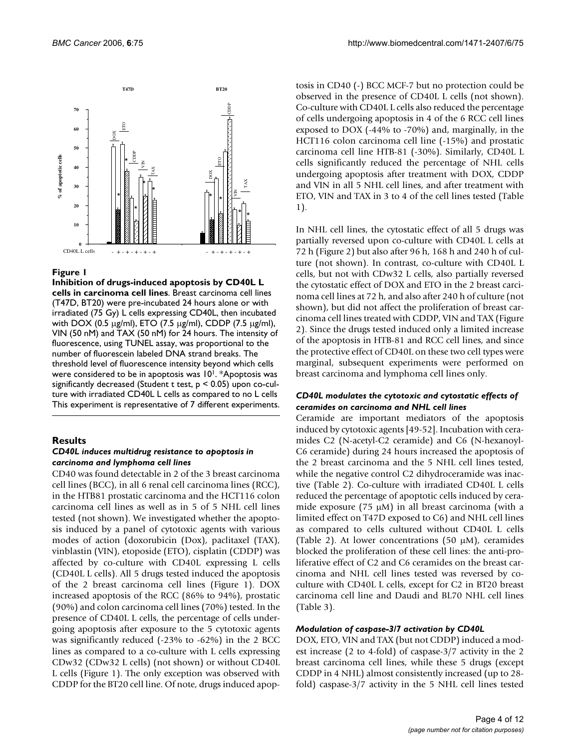

**Inhibition of drugs-induced apoptosis by CD40L L cells in carcinoma cell lines**. Breast carcinoma cell lines (T47D, BT20) were pre-incubated 24 hours alone or with irradiated (75 Gy) L cells expressing CD40L, then incubated with DOX (0.5 µg/ml), ETO (7.5 µg/ml), CDDP (7.5 µg/ml), VIN (50 nM) and TAX (50 nM) for 24 hours. The intensity of fluorescence, using TUNEL assay, was proportional to the number of fluorescein labeled DNA strand breaks. The threshold level of fluorescence intensity beyond which cells were considered to be in apoptosis was 10<sup>1</sup>. \*Apoptosis was significantly decreased (Student t test, p < 0.05) upon co-culture with irradiated CD40L L cells as compared to no L cells This experiment is representative of 7 different experiments.

#### **Results**

#### *CD40L induces multidrug resistance to apoptosis in carcinoma and lymphoma cell lines*

CD40 was found detectable in 2 of the 3 breast carcinoma cell lines (BCC), in all 6 renal cell carcinoma lines (RCC), in the HTB81 prostatic carcinoma and the HCT116 colon carcinoma cell lines as well as in 5 of 5 NHL cell lines tested (not shown). We investigated whether the apoptosis induced by a panel of cytotoxic agents with various modes of action (doxorubicin (Dox), paclitaxel (TAX), vinblastin (VIN), etoposide (ETO), cisplatin (CDDP) was affected by co-culture with CD40L expressing L cells (CD40L L cells). All 5 drugs tested induced the apoptosis of the 2 breast carcinoma cell lines (Figure 1). DOX increased apoptosis of the RCC (86% to 94%), prostatic (90%) and colon carcinoma cell lines (70%) tested. In the presence of CD40L L cells, the percentage of cells undergoing apoptosis after exposure to the 5 cytotoxic agents was significantly reduced (-23% to -62%) in the 2 BCC lines as compared to a co-culture with L cells expressing CDw32 (CDw32 L cells) (not shown) or without CD40L L cells (Figure 1). The only exception was observed with CDDP for the BT20 cell line. Of note, drugs induced apoptosis in CD40 (-) BCC MCF-7 but no protection could be observed in the presence of CD40L L cells (not shown). Co-culture with CD40L L cells also reduced the percentage of cells undergoing apoptosis in 4 of the 6 RCC cell lines exposed to DOX (-44% to -70%) and, marginally, in the HCT116 colon carcinoma cell line (-15%) and prostatic carcinoma cell line HTB-81 (-30%). Similarly, CD40L L cells significantly reduced the percentage of NHL cells undergoing apoptosis after treatment with DOX, CDDP and VIN in all 5 NHL cell lines, and after treatment with ETO, VIN and TAX in 3 to 4 of the cell lines tested (Table 1).

In NHL cell lines, the cytostatic effect of all 5 drugs was partially reversed upon co-culture with CD40L L cells at 72 h (Figure 2) but also after 96 h, 168 h and 240 h of culture (not shown). In contrast, co-culture with CD40L L cells, but not with CDw32 L cells, also partially reversed the cytostatic effect of DOX and ETO in the 2 breast carcinoma cell lines at 72 h, and also after 240 h of culture (not shown), but did not affect the proliferation of breast carcinoma cell lines treated with CDDP, VIN and TAX (Figure 2). Since the drugs tested induced only a limited increase of the apoptosis in HTB-81 and RCC cell lines, and since the protective effect of CD40L on these two cell types were marginal, subsequent experiments were performed on breast carcinoma and lymphoma cell lines only.

#### *CD40L modulates the cytotoxic and cytostatic effects of ceramides on carcinoma and NHL cell lines*

Ceramide are important mediators of the apoptosis induced by cytotoxic agents [49-52]. Incubation with ceramides C2 (N-acetyl-C2 ceramide) and C6 (N-hexanoyl-C6 ceramide) during 24 hours increased the apoptosis of the 2 breast carcinoma and the 5 NHL cell lines tested, while the negative control C2 dihydroceramide was inactive (Table 2). Co-culture with irradiated CD40L L cells reduced the percentage of apoptotic cells induced by ceramide exposure (75 µM) in all breast carcinoma (with a limited effect on T47D exposed to C6) and NHL cell lines as compared to cells cultured without CD40L L cells (Table 2). At lower concentrations (50  $\mu$ M), ceramides blocked the proliferation of these cell lines: the anti-proliferative effect of C2 and C6 ceramides on the breast carcinoma and NHL cell lines tested was reversed by coculture with CD40L L cells, except for C2 in BT20 breast carcinoma cell line and Daudi and BL70 NHL cell lines (Table 3).

#### *Modulation of caspase-3/7 activation by CD40L*

DOX, ETO, VIN and TAX (but not CDDP) induced a modest increase (2 to 4-fold) of caspase-3/7 activity in the 2 breast carcinoma cell lines, while these 5 drugs (except CDDP in 4 NHL) almost consistently increased (up to 28 fold) caspase-3/7 activity in the 5 NHL cell lines tested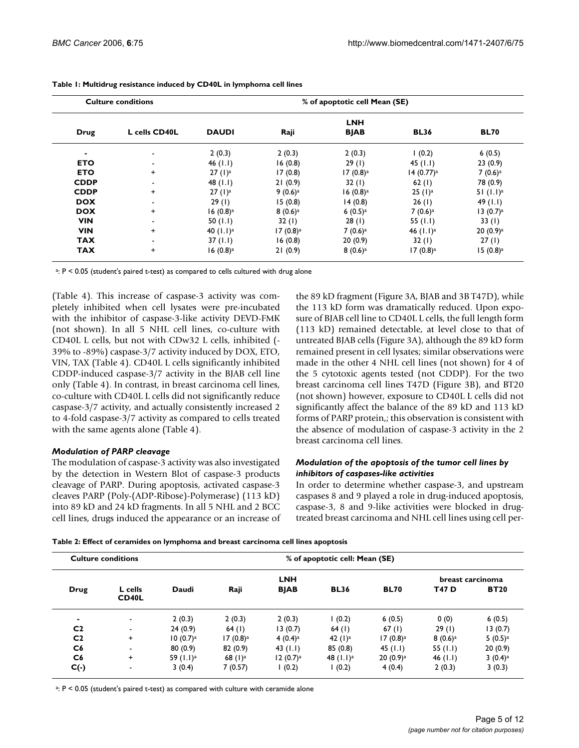| <b>Culture conditions</b> |               | % of apoptotic cell Mean (SE) |                        |                        |                       |                       |  |
|---------------------------|---------------|-------------------------------|------------------------|------------------------|-----------------------|-----------------------|--|
|                           |               |                               |                        | <b>LNH</b>             |                       |                       |  |
| <b>Drug</b>               | L cells CD40L | <b>DAUDI</b>                  | Raji                   | <b>BJAB</b>            | <b>BL36</b>           | <b>BL70</b>           |  |
|                           |               | 2(0.3)                        | 2(0.3)                 | 2(0.3)                 | (0.2)                 | 6(0.5)                |  |
| <b>ETO</b>                |               | 46 $($ l.l $)$                | 16(0.8)                | 29(1)                  | 45 $(1.1)$            | 23(0.9)               |  |
| <b>ETO</b>                | $\ddot{}$     | 27 (1) <sup>a</sup>           | 17(0.8)                | $17(0.8)$ <sup>a</sup> | 14(0.77) <sup>a</sup> | $7(0.6)$ <sup>a</sup> |  |
| <b>CDDP</b>               | -             | 48 $(1.1)$                    | 21(0.9)                | 32(1)                  | 62(1)                 | 78 (0.9)              |  |
| <b>CDDP</b>               | $\ddot{}$     | 27 (1) <sup>a</sup>           | $9(0.6)^a$             | $16(0.8)^a$            | $25 (1)^a$            | 51 (1.1) <sup>a</sup> |  |
| <b>DOX</b>                |               | 29(1)                         | 15(0.8)                | 14(0.8)                | 26(1)                 | 49 $(1.1)$            |  |
| <b>DOX</b>                | $\ddot{}$     | $16(0.8)^a$                   | $8(0.6)^a$             | $6(0.5)$ <sup>a</sup>  | 7(0.6) <sup>a</sup>   | 13(0.7) <sup>a</sup>  |  |
| <b>VIN</b>                | ۰             | 50 $(1.1)$                    | 32(1)                  | 28(1)                  | 55 $(1.1)$            | 33(1)                 |  |
| <b>VIN</b>                | $\ddot{}$     | 40 $(1.1)^a$                  | $17(0.8)$ <sup>a</sup> | $7(0.6)$ <sup>a</sup>  | 46 $(1.1)^a$          | $20(0.9)^a$           |  |
| <b>TAX</b>                |               | 37(1.1)                       | 16(0.8)                | 20(0.9)                | 32(1)                 | 27(1)                 |  |
| <b>TAX</b>                | $\ddot{}$     | $16(0.8)^a$                   | 21(0.9)                | $8(0.6)^a$             | $17(0.8)^a$           | $15(0.8)^a$           |  |

**Table 1: Multidrug resistance induced by CD40L in lymphoma cell lines**

a : P < 0.05 (student's paired t-test) as compared to cells cultured with drug alone

(Table 4). This increase of caspase-3 activity was completely inhibited when cell lysates were pre-incubated with the inhibitor of caspase-3-like activity DEVD-FMK (not shown). In all 5 NHL cell lines, co-culture with CD40L L cells, but not with CDw32 L cells, inhibited (- 39% to -89%) caspase-3/7 activity induced by DOX, ETO, VIN, TAX (Table 4). CD40L L cells significantly inhibited CDDP-induced caspase-3/7 activity in the BJAB cell line only (Table 4). In contrast, in breast carcinoma cell lines, co-culture with CD40L L cells did not significantly reduce caspase-3/7 activity, and actually consistently increased 2 to 4-fold caspase-3/7 activity as compared to cells treated with the same agents alone (Table 4).

#### *Modulation of PARP cleavage*

The modulation of caspase-3 activity was also investigated by the detection in Western Blot of caspase-3 products cleavage of PARP. During apoptosis, activated caspase-3 cleaves PARP (Poly-(ADP-Ribose)-Polymerase) (113 kD) into 89 kD and 24 kD fragments. In all 5 NHL and 2 BCC cell lines, drugs induced the appearance or an increase of the 89 kD fragment (Figure 3A, BJAB and 3B T47D), while the 113 kD form was dramatically reduced. Upon exposure of BJAB cell line to CD40L L cells, the full length form (113 kD) remained detectable, at level close to that of untreated BJAB cells (Figure 3A), although the 89 kD form remained present in cell lysates; similar observations were made in the other 4 NHL cell lines (not shown) for 4 of the 5 cytotoxic agents tested (not CDDP). For the two breast carcinoma cell lines T47D (Figure 3B), and BT20 (not shown) however, exposure to CD40L L cells did not significantly affect the balance of the 89 kD and 113 kD forms of PARP protein,; this observation is consistent with the absence of modulation of caspase-3 activity in the 2 breast carcinoma cell lines.

#### *Modulation of the apoptosis of the tumor cell lines by inhibitors of caspases-like activities*

In order to determine whether caspase-3, and upstream caspases 8 and 9 played a role in drug-induced apoptosis, caspase-3, 8 and 9-like activities were blocked in drugtreated breast carcinoma and NHL cell lines using cell per-

| <b>Culture conditions</b> |                          |                      | % of apoptotic cell: Mean (SE) |                       |                     |                       |            |                       |  |
|---------------------------|--------------------------|----------------------|--------------------------------|-----------------------|---------------------|-----------------------|------------|-----------------------|--|
|                           |                          |                      | <b>LNH</b>                     |                       |                     |                       |            |                       |  |
| Drug                      | L cells<br><b>CD40L</b>  | Daudi                | Raji                           | <b>BJAB</b>           | <b>BL36</b>         | <b>BL70</b>           | T47 D      | <b>BT20</b>           |  |
| ۰                         | $\blacksquare$           | 2(0.3)               | 2(0.3)                         | 2(0.3)                | (0.2)               | 6(0.5)                | 0(0)       | 6(0.5)                |  |
| C <sub>2</sub>            | $\overline{\phantom{a}}$ | 24(0.9)              | 64 $(1)$                       | 13(0.7)               | 64(1)               | 67(1)                 | 29(1)      | 13(0.7)               |  |
| C <sub>2</sub>            | $\ddot{}$                | 10(0.7) <sup>a</sup> | $17(0.8)$ <sup>a</sup>         | $4(0.4)$ <sup>a</sup> | 42 (1) <sup>a</sup> | 17 (0.8) <sup>a</sup> | $8(0.6)^a$ | $5(0.5)$ <sup>a</sup> |  |
| C6                        | $\blacksquare$           | 80(0.9)              | 82(0.9)                        | 43 $(1.1)$            | 85(0.8)             | 45 $($ l.l)           | 55 $(1.1)$ | 20(0.9)               |  |
| C <sub>6</sub>            | $\ddot{}$                | 59 $(1.1)^a$         | 68 $(1)^a$                     | 12(0.7) <sup>a</sup>  | 48 $(1.1)^a$        | $20(0.9)^a$           | 46 $(1.1)$ | $3(0.4)$ <sup>a</sup> |  |
| $C(\cdot)$                | ٠                        | 3(0.4)               | 7(0.57)                        | (0.2)                 | (0.2)               | 4(0.4)                | 2(0.3)     | 3(0.3)                |  |

<sup>a</sup>: P < 0.05 (student's paired t-test) as compared with culture with ceramide alone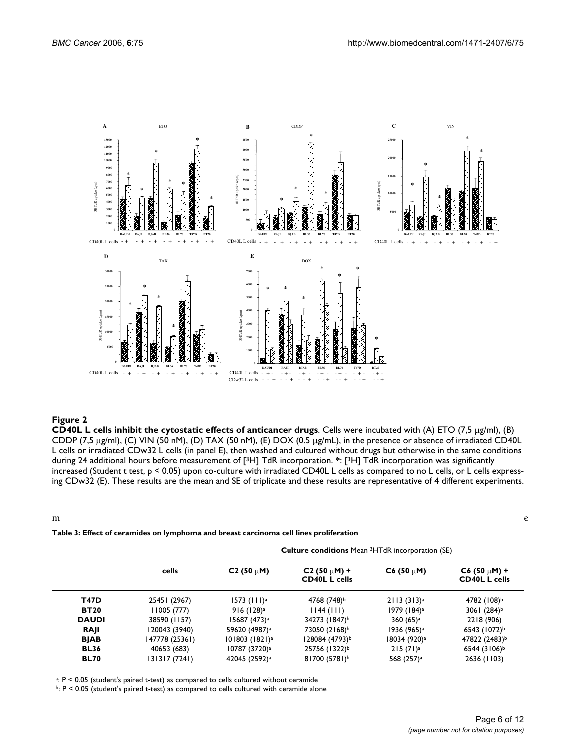

**CD40L L cells inhibit the cytostatic effects of anticancer drugs**. Cells were incubated with (A) ETO (7,5 µg/ml), (B) CDDP (7,5 µg/ml), (C) VIN (50 nM), (D) TAX (50 nM), (E) DOX (0.5 µg/mL), in the presence or absence of irradiated CD40L L cells or irradiated CDw32 L cells (in panel E), then washed and cultured without drugs but otherwise in the same conditions during 24 additional hours before measurement of [<sup>3</sup>H] TdR incorporation. **\***: [<sup>3</sup>H] TdR incorporation was significantly increased (Student t test, p < 0.05) upon co-culture with irradiated CD40L L cells as compared to no L cells, or L cells expressing CDw32 (E). These results are the mean and SE of triplicate and these results are representative of 4 different experiments.

m extensive contract to the contract of the contract of the contract of the contract of the contract of the contract of the contract of the contract of the contract of the contract of the contract of the contract of the co

#### **Table 3: Effect of ceramides on lymphoma and breast carcinoma cell lines proliferation**

|              |                | <b>Culture conditions</b> Mean <sup>3</sup> HTdR incorporation (SE) |                                           |                          |                                           |  |  |
|--------------|----------------|---------------------------------------------------------------------|-------------------------------------------|--------------------------|-------------------------------------------|--|--|
|              | cells          | $C2(50 \mu M)$                                                      | $C2 (50 \mu M) +$<br><b>CD40L L cells</b> | $C6(50 \mu M)$           | $C6 (50 \mu M) +$<br><b>CD40L L cells</b> |  |  |
| <b>T47D</b>  | 25451 (2967)   | 1573 $(111)^a$                                                      | 4768 (748) <sup>b</sup>                   | 2113(313) <sup>a</sup>   | 4782 (108) <sup>b</sup>                   |  |  |
| <b>BT20</b>  | 11005 (777)    | 916 (128) <sup>a</sup>                                              | 1144 (111)                                | 1979 (184) <sup>a</sup>  | 3061 $(284)^{b}$                          |  |  |
| <b>DAUDI</b> | 38590 (1157)   | 15687 (473) <sup>a</sup>                                            | 34273 (1847) <sup>b</sup>                 | $360(65)$ <sup>a</sup>   | 2218 (906)                                |  |  |
| RAJI         | 120043 (3940)  | 59620 (4987) <sup>a</sup>                                           | 73050 (2168) <sup>b</sup>                 | 1936 (965) <sup>a</sup>  | 6543 (1072) <sup>b</sup>                  |  |  |
| <b>BJAB</b>  | 147778 (25361) | 101803 (1821) <sup>a</sup>                                          | 128084 (4793) <sup>b</sup>                | 18034 (920) <sup>a</sup> | 47822 (2483) <sup>b</sup>                 |  |  |
| <b>BL36</b>  | 40653 (683)    | 10787 (3720) <sup>a</sup>                                           | 25756 (1322)b                             | 215 (71) <sup>a</sup>    | 6544 (3106) <sup>b</sup>                  |  |  |
| <b>BL70</b>  | 131317 (7241)  | 42045 (2592) <sup>a</sup>                                           | 81700 $(5781)^b$                          | 568 (257) <sup>a</sup>   | 2636 (1103)                               |  |  |

<sup>a</sup>: P < 0.05 (student's paired t-test) as compared to cells cultured without ceramide

b: P < 0.05 (student's paired t-test) as compared to cells cultured with ceramide alone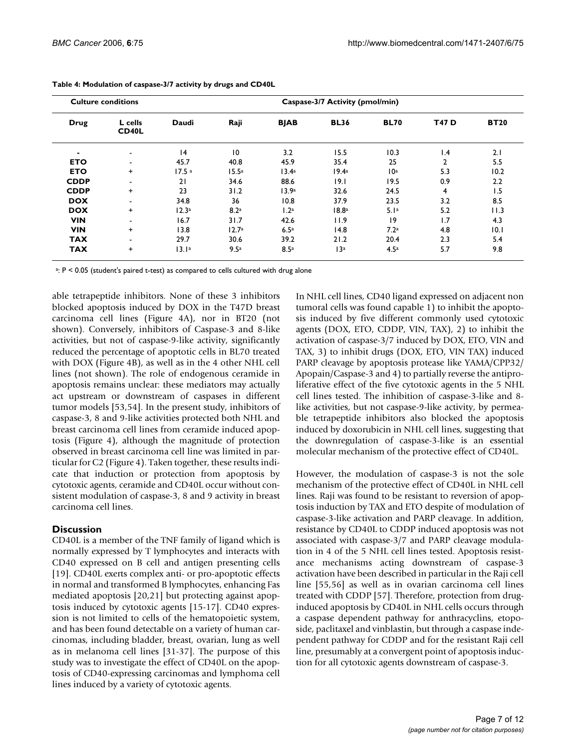| <b>Culture conditions</b> |                          |                   | Caspase-3/7 Activity (pmol/min) |                   |                   |                  |                 |             |
|---------------------------|--------------------------|-------------------|---------------------------------|-------------------|-------------------|------------------|-----------------|-------------|
| <b>Drug</b>               | L cells<br>CD40L         | Daudi             | Raji                            | <b>BJAB</b>       | <b>BL36</b>       | <b>BL70</b>      | T47 D           | <b>BT20</b> |
|                           | $\overline{\phantom{a}}$ | 4                 | $\overline{10}$                 | 3.2               | 15.5              | 10.3             | $\mathsf{I}$ .4 | 2.1         |
| <b>ETO</b>                | ۰                        | 45.7              | 40.8                            | 45.9              | 35.4              | 25               | $\overline{2}$  | 5.5         |
| <b>ETO</b>                | $\ddot{}$                | 17.5 <sup>a</sup> | 15.5 <sup>a</sup>               | 13.4 <sup>a</sup> | 19.4 <sup>a</sup> | 10 <sup>a</sup>  | 5.3             | 10.2        |
| <b>CDDP</b>               | ۰                        | 21                | 34.6                            | 88.6              | 9.1               | 19.5             | 0.9             | 2.2         |
| <b>CDDP</b>               | $\ddot{}$                | 23                | 31.2                            | 13.9a             | 32.6              | 24.5             | $\overline{4}$  | 1.5         |
| <b>DOX</b>                | ۰                        | 34.8              | 36                              | 10.8              | 37.9              | 23.5             | 3.2             | 8.5         |
| <b>DOX</b>                | $\ddot{}$                | 12.3 <sup>a</sup> | 8.2 <sup>a</sup>                | 1.2 <sup>a</sup>  | 18.8 <sup>a</sup> | 5.1a             | 5.2             | 11.3        |
| <b>VIN</b>                | ۰                        | 16.7              | 31.7                            | 42.6              | 11.9              | 9                | 1.7             | 4.3         |
| <b>VIN</b>                | $\ddot{}$                | 13.8              | 12.7 <sup>a</sup>               | 6.5 <sup>a</sup>  | 14.8              | 7.2 <sup>a</sup> | 4.8             | 10.1        |
| <b>TAX</b>                | ۰                        | 29.7              | 30.6                            | 39.2              | 21.2              | 20.4             | 2.3             | 5.4         |
| <b>TAX</b>                | $\ddot{}$                | 13.1a             | 9.5a                            | 8.5a              | 13a               | 4.5a             | 5.7             | 9.8         |

| Table 4: Modulation of caspase-3/7 activity by drugs and CD40L |  |  |
|----------------------------------------------------------------|--|--|

<sup>a</sup>: P < 0.05 (student's paired t-test) as compared to cells cultured with drug alone

able tetrapeptide inhibitors. None of these 3 inhibitors blocked apoptosis induced by DOX in the T47D breast carcinoma cell lines (Figure 4A), nor in BT20 (not shown). Conversely, inhibitors of Caspase-3 and 8-like activities, but not of caspase-9-like activity, significantly reduced the percentage of apoptotic cells in BL70 treated with DOX (Figure 4B), as well as in the 4 other NHL cell lines (not shown). The role of endogenous ceramide in apoptosis remains unclear: these mediators may actually act upstream or downstream of caspases in different tumor models [53,54]. In the present study, inhibitors of caspase-3, 8 and 9-like activities protected both NHL and breast carcinoma cell lines from ceramide induced apoptosis (Figure 4), although the magnitude of protection observed in breast carcinoma cell line was limited in particular for C2 (Figure 4). Taken together, these results indicate that induction or protection from apoptosis by cytotoxic agents, ceramide and CD40L occur without consistent modulation of caspase-3, 8 and 9 activity in breast carcinoma cell lines.

#### **Discussion**

CD40L is a member of the TNF family of ligand which is normally expressed by T lymphocytes and interacts with CD40 expressed on B cell and antigen presenting cells [19]. CD40L exerts complex anti- or pro-apoptotic effects in normal and transformed B lymphocytes, enhancing Fas mediated apoptosis [20,21] but protecting against apoptosis induced by cytotoxic agents [15-17]. CD40 expression is not limited to cells of the hematopoietic system, and has been found detectable on a variety of human carcinomas, including bladder, breast, ovarian, lung as well as in melanoma cell lines [31-37]. The purpose of this study was to investigate the effect of CD40L on the apoptosis of CD40-expressing carcinomas and lymphoma cell lines induced by a variety of cytotoxic agents.

In NHL cell lines, CD40 ligand expressed on adjacent non tumoral cells was found capable 1) to inhibit the apoptosis induced by five different commonly used cytotoxic agents (DOX, ETO, CDDP, VIN, TAX), 2) to inhibit the activation of caspase-3/7 induced by DOX, ETO, VIN and TAX, 3) to inhibit drugs (DOX, ETO, VIN TAX) induced PARP cleavage by apoptosis protease like YAMA/CPP32/ Apopain/Caspase-3 and 4) to partially reverse the antiproliferative effect of the five cytotoxic agents in the 5 NHL cell lines tested. The inhibition of caspase-3-like and 8 like activities, but not caspase-9-like activity, by permeable tetrapeptide inhibitors also blocked the apoptosis induced by doxorubicin in NHL cell lines, suggesting that the downregulation of caspase-3-like is an essential molecular mechanism of the protective effect of CD40L.

However, the modulation of caspase-3 is not the sole mechanism of the protective effect of CD40L in NHL cell lines. Raji was found to be resistant to reversion of apoptosis induction by TAX and ETO despite of modulation of caspase-3-like activation and PARP cleavage. In addition, resistance by CD40L to CDDP induced apoptosis was not associated with caspase-3/7 and PARP cleavage modulation in 4 of the 5 NHL cell lines tested. Apoptosis resistance mechanisms acting downstream of caspase-3 activation have been described in particular in the Raji cell line [55,56] as well as in ovarian carcinoma cell lines treated with CDDP [57]. Therefore, protection from druginduced apoptosis by CD40L in NHL cells occurs through a caspase dependent pathway for anthracyclins, etoposide, paclitaxel and vinblastin, but through a caspase independent pathway for CDDP and for the resistant Raji cell line, presumably at a convergent point of apoptosis induction for all cytotoxic agents downstream of caspase-3.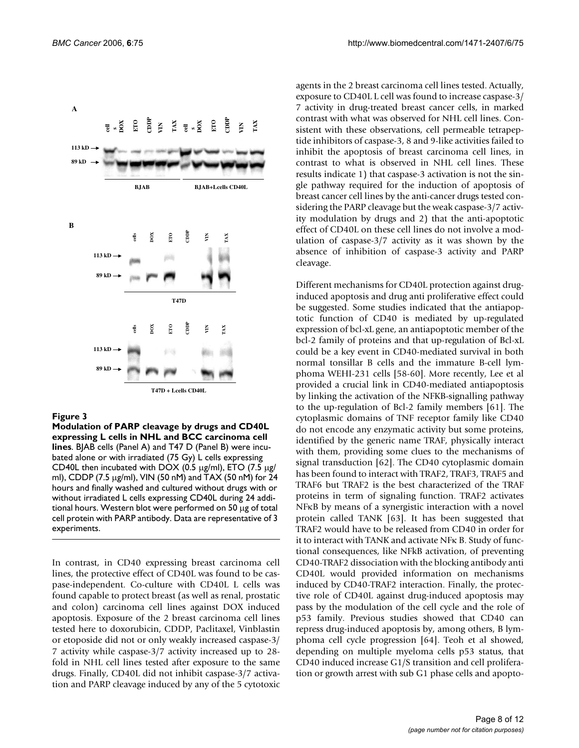

**Modulation of PARP cleavage by drugs and CD40L expressing L cells in NHL and BCC carcinoma cell lines**. BJAB cells (Panel A) and T47 D (Panel B) were incubated alone or with irradiated (75 Gy) L cells expressing CD40L then incubated with DOX (0.5  $\mu$ g/ml), ETO (7.5  $\mu$ g/ ml), CDDP (7.5 µg/ml), VIN (50 nM) and TAX (50 nM) for 24 hours and finally washed and cultured without drugs with or without irradiated L cells expressing CD40L during 24 additional hours. Western blot were performed on 50 µg of total cell protein with PARP antibody. Data are representative of 3 experiments.

In contrast, in CD40 expressing breast carcinoma cell lines, the protective effect of CD40L was found to be caspase-independent. Co-culture with CD40L L cells was found capable to protect breast (as well as renal, prostatic and colon) carcinoma cell lines against DOX induced apoptosis. Exposure of the 2 breast carcinoma cell lines tested here to doxorubicin, CDDP, Paclitaxel, Vinblastin or etoposide did not or only weakly increased caspase-3/ 7 activity while caspase-3/7 activity increased up to 28 fold in NHL cell lines tested after exposure to the same drugs. Finally, CD40L did not inhibit caspase-3/7 activation and PARP cleavage induced by any of the 5 cytotoxic

agents in the 2 breast carcinoma cell lines tested. Actually, exposure to CD40L L cell was found to increase caspase-3/ 7 activity in drug-treated breast cancer cells, in marked contrast with what was observed for NHL cell lines. Consistent with these observations, cell permeable tetrapeptide inhibitors of caspase-3, 8 and 9-like activities failed to inhibit the apoptosis of breast carcinoma cell lines, in contrast to what is observed in NHL cell lines. These results indicate 1) that caspase-3 activation is not the single pathway required for the induction of apoptosis of breast cancer cell lines by the anti-cancer drugs tested considering the PARP cleavage but the weak caspase-3/7 activity modulation by drugs and 2) that the anti-apoptotic effect of CD40L on these cell lines do not involve a modulation of caspase-3/7 activity as it was shown by the absence of inhibition of caspase-3 activity and PARP cleavage.

Different mechanisms for CD40L protection against druginduced apoptosis and drug anti proliferative effect could be suggested. Some studies indicated that the antiapoptotic function of CD40 is mediated by up-regulated expression of bcl-xL gene, an antiapoptotic member of the bcl-2 family of proteins and that up-regulation of Bcl-xL could be a key event in CD40-mediated survival in both normal tonsillar B cells and the immature B-cell lymphoma WEHI-231 cells [58-60]. More recently, Lee et al provided a crucial link in CD40-mediated antiapoptosis by linking the activation of the NFKB-signalling pathway to the up-regulation of Bcl-2 family members [61]. The cytoplasmic domains of TNF receptor family like CD40 do not encode any enzymatic activity but some proteins, identified by the generic name TRAF, physically interact with them, providing some clues to the mechanisms of signal transduction [62]. The CD40 cytoplasmic domain has been found to interact with TRAF2, TRAF3, TRAF5 and TRAF6 but TRAF2 is the best characterized of the TRAF proteins in term of signaling function. TRAF2 activates NFκB by means of a synergistic interaction with a novel protein called TANK [63]. It has been suggested that TRAF2 would have to be released from CD40 in order for it to interact with TANK and activate NFκ B. Study of functional consequences, like NFkB activation, of preventing CD40-TRAF2 dissociation with the blocking antibody anti CD40L would provided information on mechanisms induced by CD40-TRAF2 interaction. Finally, the protective role of CD40L against drug-induced apoptosis may pass by the modulation of the cell cycle and the role of p53 family. Previous studies showed that CD40 can repress drug-induced apoptosis by, among others, B lymphoma cell cycle progression [64]. Teoh et al showed, depending on multiple myeloma cells p53 status, that CD40 induced increase G1/S transition and cell proliferation or growth arrest with sub G1 phase cells and apopto-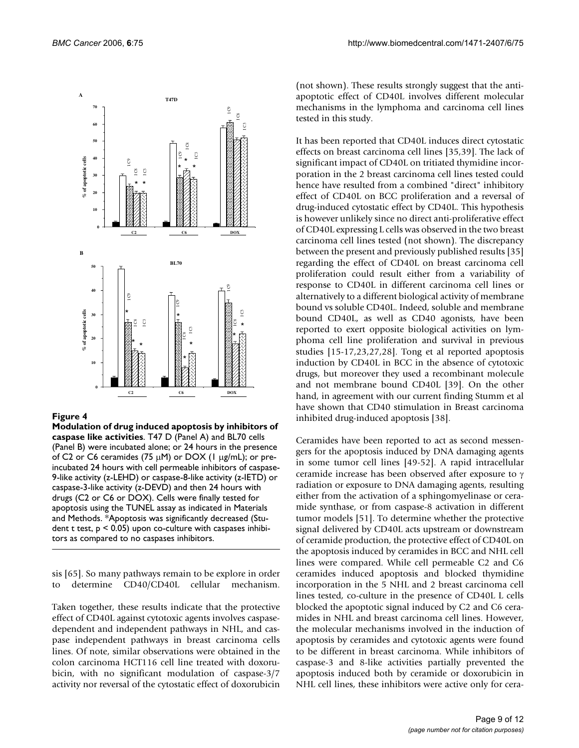

**Modulation of drug induced apoptosis by inhibitors of caspase like activities**. T47 D (Panel A) and BL70 cells (Panel B) were incubated alone; or 24 hours in the presence of C2 or C6 ceramides (75  $\mu$ M) or DOX (1  $\mu$ g/mL); or preincubated 24 hours with cell permeable inhibitors of caspase-9-like activity (z-LEHD) or caspase-8-like activity (z-IETD) or caspase-3-like activity (z-DEVD) and then 24 hours with drugs (C2 or C6 or DOX). Cells were finally tested for apoptosis using the TUNEL assay as indicated in Materials and Methods. \*Apoptosis was significantly decreased (Student t test,  $p < 0.05$ ) upon co-culture with caspases inhibitors as compared to no caspases inhibitors.

sis [65]. So many pathways remain to be explore in order to determine CD40/CD40L cellular mechanism.

Taken together, these results indicate that the protective effect of CD40L against cytotoxic agents involves caspasedependent and independent pathways in NHL, and caspase independent pathways in breast carcinoma cells lines. Of note, similar observations were obtained in the colon carcinoma HCT116 cell line treated with doxorubicin, with no significant modulation of caspase-3/7 activity nor reversal of the cytostatic effect of doxorubicin (not shown). These results strongly suggest that the antiapoptotic effect of CD40L involves different molecular mechanisms in the lymphoma and carcinoma cell lines tested in this study.

It has been reported that CD40L induces direct cytostatic effects on breast carcinoma cell lines [35,39]. The lack of significant impact of CD40L on tritiated thymidine incorporation in the 2 breast carcinoma cell lines tested could hence have resulted from a combined "direct" inhibitory effect of CD40L on BCC proliferation and a reversal of drug-induced cytostatic effect by CD40L. This hypothesis is however unlikely since no direct anti-proliferative effect of CD40L expressing L cells was observed in the two breast carcinoma cell lines tested (not shown). The discrepancy between the present and previously published results [35] regarding the effect of CD40L on breast carcinoma cell proliferation could result either from a variability of response to CD40L in different carcinoma cell lines or alternatively to a different biological activity of membrane bound vs soluble CD40L. Indeed, soluble and membrane bound CD40L, as well as CD40 agonists, have been reported to exert opposite biological activities on lymphoma cell line proliferation and survival in previous studies [15-17,23,27,28]. Tong et al reported apoptosis induction by CD40L in BCC in the absence of cytotoxic drugs, but moreover they used a recombinant molecule and not membrane bound CD40L [39]. On the other hand, in agreement with our current finding Stumm et al have shown that CD40 stimulation in Breast carcinoma inhibited drug-induced apoptosis [38].

Ceramides have been reported to act as second messengers for the apoptosis induced by DNA damaging agents in some tumor cell lines [49-52]. A rapid intracellular ceramide increase has been observed after exposure to γ radiation or exposure to DNA damaging agents, resulting either from the activation of a sphingomyelinase or ceramide synthase, or from caspase-8 activation in different tumor models [51]. To determine whether the protective signaI delivered by CD40L acts upstream or downstream of ceramide production, the protective effect of CD40L on the apoptosis induced by ceramides in BCC and NHL cell lines were compared. While cell permeable C2 and C6 ceramides induced apoptosis and blocked thymidine incorporation in the 5 NHL and 2 breast carcinoma cell lines tested, co-culture in the presence of CD40L L cells blocked the apoptotic signal induced by C2 and C6 ceramides in NHL and breast carcinoma cell lines. However, the molecular mechanisms involved in the induction of apoptosis by ceramides and cytotoxic agents were found to be different in breast carcinoma. While inhibitors of caspase-3 and 8-like activities partially prevented the apoptosis induced both by ceramide or doxorubicin in NHL cell lines, these inhibitors were active only for cera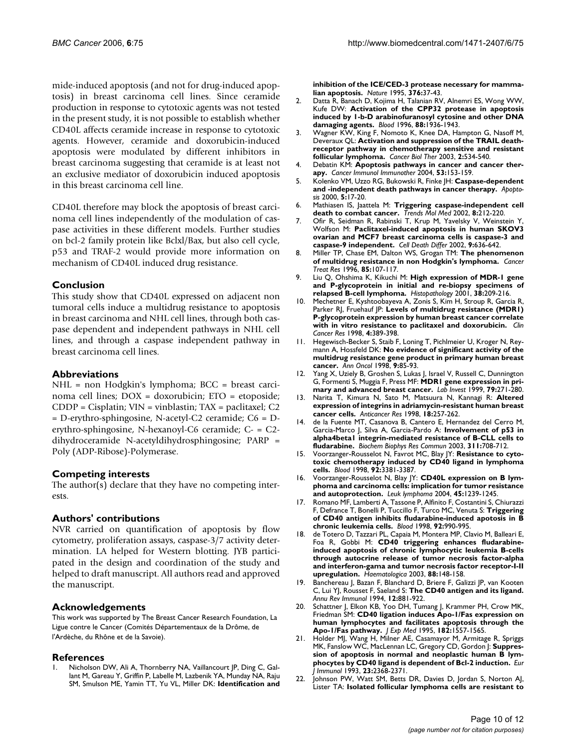mide-induced apoptosis (and not for drug-induced apoptosis) in breast carcinoma cell lines. Since ceramide production in response to cytotoxic agents was not tested in the present study, it is not possible to establish whether CD40L affects ceramide increase in response to cytotoxic agents. However, ceramide and doxorubicin-induced apoptosis were modulated by different inhibitors in breast carcinoma suggesting that ceramide is at least not an exclusive mediator of doxorubicin induced apoptosis in this breast carcinoma cell line.

CD40L therefore may block the apoptosis of breast carcinoma cell lines independently of the modulation of caspase activities in these different models. Further studies on bcl-2 family protein like Bclxl/Bax, but also cell cycle, p53 and TRAF-2 would provide more information on mechanism of CD40L induced drug resistance.

#### **Conclusion**

This study show that CD40L expressed on adjacent non tumoral cells induce a multidrug resistance to apoptosis in breast carcinoma and NHL cell lines, through both caspase dependent and independent pathways in NHL cell lines, and through a caspase independent pathway in breast carcinoma cell lines.

#### **Abbreviations**

NHL = non Hodgkin's lymphoma; BCC = breast carcinoma cell lines; DOX = doxorubicin; ETO = etoposide; CDDP = Cisplatin; VIN = vinblastin; TAX = paclitaxel; C2 = D-erythro-sphingosine, N-acetyl-C2 ceramide; C6 = Derythro-sphingosine, N-hexanoyl-C6 ceramide; C- = C2 dihydroceramide N-acetyldihydrosphingosine; PARP = Poly (ADP-Ribose)-Polymerase.

#### **Competing interests**

The author(s) declare that they have no competing interests.

#### **Authors' contributions**

NVR carried on quantification of apoptosis by flow cytometry, proliferation assays, caspase-3/7 activity determination. LA helped for Western blotting. JYB participated in the design and coordination of the study and helped to draft manuscript. All authors read and approved the manuscript.

#### **Acknowledgements**

This work was supported by The Breast Cancer Research Foundation, La Ligue contre le Cancer (Comités Départementaux de la Drôme, de l'Ardèche, du Rhône et de la Savoie).

#### **References**

Nicholson DW, Ali A, Thornberry NA, Vaillancourt JP, Ding C, Gallant M, Gareau Y, Griffin P, Labelle M, Lazbenik YA, Munday NA, Raju SM, Smulson ME, Yamin TT, Yu VL, Miller DK: **[Identification and](http://www.ncbi.nlm.nih.gov/entrez/query.fcgi?cmd=Retrieve&db=PubMed&dopt=Abstract&list_uids=7596430)** **[inhibition of the ICE/CED-3 protease necessary for mamma](http://www.ncbi.nlm.nih.gov/entrez/query.fcgi?cmd=Retrieve&db=PubMed&dopt=Abstract&list_uids=7596430)[lian apoptosis.](http://www.ncbi.nlm.nih.gov/entrez/query.fcgi?cmd=Retrieve&db=PubMed&dopt=Abstract&list_uids=7596430)** *Nature* 1995, **376:**37-43.

- 2. Datta R, Banach D, Kojima H, Talanian RV, Alnemri ES, Wong WW, Kufe DW: **[Activation of the CPP32 protease in apoptosis](http://www.ncbi.nlm.nih.gov/entrez/query.fcgi?cmd=Retrieve&db=PubMed&dopt=Abstract&list_uids=8822910) [induced by 1-b-D arabinofuranosyl cytosine and other DNA](http://www.ncbi.nlm.nih.gov/entrez/query.fcgi?cmd=Retrieve&db=PubMed&dopt=Abstract&list_uids=8822910) [damaging agents.](http://www.ncbi.nlm.nih.gov/entrez/query.fcgi?cmd=Retrieve&db=PubMed&dopt=Abstract&list_uids=8822910)** *Blood* 1996, **88:**1936-1943.
- 3. Wagner KW, King F, Nomoto K, Knee DA, Hampton G, Nasoff M, Deveraux QL: **[Activation and suppression of the TRAIL death](http://www.ncbi.nlm.nih.gov/entrez/query.fcgi?cmd=Retrieve&db=PubMed&dopt=Abstract&list_uids=14614322)[receptor pathway in chemotherapy sensitive and resistant](http://www.ncbi.nlm.nih.gov/entrez/query.fcgi?cmd=Retrieve&db=PubMed&dopt=Abstract&list_uids=14614322) [follicular lymphoma.](http://www.ncbi.nlm.nih.gov/entrez/query.fcgi?cmd=Retrieve&db=PubMed&dopt=Abstract&list_uids=14614322)** *Cancer Biol Ther* 2003, **2:**534-540.
- 4. Debatin KM: **[Apoptosis pathways in cancer and cancer ther](http://www.ncbi.nlm.nih.gov/entrez/query.fcgi?cmd=Retrieve&db=PubMed&dopt=Abstract&list_uids=14749900)[apy.](http://www.ncbi.nlm.nih.gov/entrez/query.fcgi?cmd=Retrieve&db=PubMed&dopt=Abstract&list_uids=14749900)** *Cancer Immunol Immunother* 2004, **53:**153-159.
- 5. Kolenko VM, Uzzo RG, Bukowski R, Finke JH: **[Caspase-dependent](http://www.ncbi.nlm.nih.gov/entrez/query.fcgi?cmd=Retrieve&db=PubMed&dopt=Abstract&list_uids=11227486) [and -independent death pathways in cancer therapy.](http://www.ncbi.nlm.nih.gov/entrez/query.fcgi?cmd=Retrieve&db=PubMed&dopt=Abstract&list_uids=11227486)** *Apoptosis* 2000, **5:**17-20.
- 6. Mathiasen IS, Jaattela M: **[Triggering caspase-independent cell](http://www.ncbi.nlm.nih.gov/entrez/query.fcgi?cmd=Retrieve&db=PubMed&dopt=Abstract&list_uids=12067630) [death to combat cancer.](http://www.ncbi.nlm.nih.gov/entrez/query.fcgi?cmd=Retrieve&db=PubMed&dopt=Abstract&list_uids=12067630)** *Trends Mol Med* 2002, **8:**212-220.
- 7. Ofir R, Seidman R, Rabinski T, Krup M, Yavelsky V, Weinstein Y, Wolfson M: **[Paclitaxel-induced apoptosis in human SKOV3](http://www.ncbi.nlm.nih.gov/entrez/query.fcgi?cmd=Retrieve&db=PubMed&dopt=Abstract&list_uids=12032672) [ovarian and MCF7 breast carcinoma cells is caspase-3 and](http://www.ncbi.nlm.nih.gov/entrez/query.fcgi?cmd=Retrieve&db=PubMed&dopt=Abstract&list_uids=12032672) [caspase-9 independent.](http://www.ncbi.nlm.nih.gov/entrez/query.fcgi?cmd=Retrieve&db=PubMed&dopt=Abstract&list_uids=12032672)** *Cell Death Differ* 2002, **9:**636-642.
- 8. Miller TP, Chase EM, Dalton WS, Grogan TM: **[The phenomenon](http://www.ncbi.nlm.nih.gov/entrez/query.fcgi?cmd=Retrieve&db=PubMed&dopt=Abstract&list_uids=9043778) [of multidrug resistance in non Hodgkin's lymphoma.](http://www.ncbi.nlm.nih.gov/entrez/query.fcgi?cmd=Retrieve&db=PubMed&dopt=Abstract&list_uids=9043778)** *Cancer Treat Res* 1996, **85:**107-117.
- 9. Liu Q, Ohshima K, Kikuchi M: **[High expression of MDR-1 gene](http://www.ncbi.nlm.nih.gov/entrez/query.fcgi?cmd=Retrieve&db=PubMed&dopt=Abstract&list_uids=11260300) [and P-glycoprotein in initial and re-biopsy specimens of](http://www.ncbi.nlm.nih.gov/entrez/query.fcgi?cmd=Retrieve&db=PubMed&dopt=Abstract&list_uids=11260300) [relapsed B-cell lymphoma.](http://www.ncbi.nlm.nih.gov/entrez/query.fcgi?cmd=Retrieve&db=PubMed&dopt=Abstract&list_uids=11260300)** *Histopathology* 2001, **38:**209-216.
- 10. Mechetner E, Kyshtoobayeva A, Zonis S, Kim H, Stroup R, Garcia R, Parker RJ, Fruehauf JP: [Levels of multidrug resistance \(MDR1\)](http://www.ncbi.nlm.nih.gov/entrez/query.fcgi?cmd=Retrieve&db=PubMed&dopt=Abstract&list_uids=9516927) **[P-glycoprotein expression by human breast cancer correlate](http://www.ncbi.nlm.nih.gov/entrez/query.fcgi?cmd=Retrieve&db=PubMed&dopt=Abstract&list_uids=9516927) [with in vitro resistance to paclitaxel and doxorubicin.](http://www.ncbi.nlm.nih.gov/entrez/query.fcgi?cmd=Retrieve&db=PubMed&dopt=Abstract&list_uids=9516927)** *Clin Cancer Res* 1998, **4:**389-398.
- 11. Hegewisch-Becker S, Staib F, Loning T, Pichlmeier U, Kroger N, Reymann A, Hossfeld DK: **[No evidence of significant activity of the](http://www.ncbi.nlm.nih.gov/entrez/query.fcgi?cmd=Retrieve&db=PubMed&dopt=Abstract&list_uids=9541688) [multidrug resistance gene product in primary human breast](http://www.ncbi.nlm.nih.gov/entrez/query.fcgi?cmd=Retrieve&db=PubMed&dopt=Abstract&list_uids=9541688) [cancer.](http://www.ncbi.nlm.nih.gov/entrez/query.fcgi?cmd=Retrieve&db=PubMed&dopt=Abstract&list_uids=9541688)** *Ann Oncol* 1998, **9:**85-93.
- 12. Yang X, Uziely B, Groshen S, Lukas J, Israel V, Russell C, Dunnington G, Formenti S, Muggia F, Press MF: **[MDR1 gene expression in pri](http://www.ncbi.nlm.nih.gov/entrez/query.fcgi?cmd=Retrieve&db=PubMed&dopt=Abstract&list_uids=10092063)[mary and advanced breast cancer.](http://www.ncbi.nlm.nih.gov/entrez/query.fcgi?cmd=Retrieve&db=PubMed&dopt=Abstract&list_uids=10092063)** *Lab Invest* 1999, **79:**271-280.
- 13. Narita T, Kimura N, Sato M, Matsuura N, Kannagi R: **[Altered](http://www.ncbi.nlm.nih.gov/entrez/query.fcgi?cmd=Retrieve&db=PubMed&dopt=Abstract&list_uids=9568087) [expression of integrins in adriamycin-resistant human breast](http://www.ncbi.nlm.nih.gov/entrez/query.fcgi?cmd=Retrieve&db=PubMed&dopt=Abstract&list_uids=9568087) [cancer cells.](http://www.ncbi.nlm.nih.gov/entrez/query.fcgi?cmd=Retrieve&db=PubMed&dopt=Abstract&list_uids=9568087)** *Anticancer Res* 1998, **18:**257-262.
- 14. de la Fuente MT, Casanova B, Cantero E, Hernandez del Cerro M, Garcia-Marco J, Silva A, Garcia-Pardo A: **[Involvement of p53 in](http://www.ncbi.nlm.nih.gov/entrez/query.fcgi?cmd=Retrieve&db=PubMed&dopt=Abstract&list_uids=14623330) [alpha4beta1 integrin-mediated resistance of B-CLL cells to](http://www.ncbi.nlm.nih.gov/entrez/query.fcgi?cmd=Retrieve&db=PubMed&dopt=Abstract&list_uids=14623330) [fludarabine.](http://www.ncbi.nlm.nih.gov/entrez/query.fcgi?cmd=Retrieve&db=PubMed&dopt=Abstract&list_uids=14623330)** *Biochem Biophys Res Commun* 2003, **311:**708-712.
- 15. Voorzanger-Rousselot N, Favrot MC, Blay JY: **[Resistance to cyto](http://www.ncbi.nlm.nih.gov/entrez/query.fcgi?cmd=Retrieve&db=PubMed&dopt=Abstract&list_uids=9787177)[toxic chemotherapy induced by CD40 ligand in lymphoma](http://www.ncbi.nlm.nih.gov/entrez/query.fcgi?cmd=Retrieve&db=PubMed&dopt=Abstract&list_uids=9787177) [cells.](http://www.ncbi.nlm.nih.gov/entrez/query.fcgi?cmd=Retrieve&db=PubMed&dopt=Abstract&list_uids=9787177)** *Blood* 1998, **92:**3381-3387.
- 16. Voorzanger-Rousselot N, Blay JY: **[CD40L expression on B lym](http://www.ncbi.nlm.nih.gov/entrez/query.fcgi?cmd=Retrieve&db=PubMed&dopt=Abstract&list_uids=15360007)[phoma and carcinoma cells: implication for tumor resistance](http://www.ncbi.nlm.nih.gov/entrez/query.fcgi?cmd=Retrieve&db=PubMed&dopt=Abstract&list_uids=15360007) [and autoprotection.](http://www.ncbi.nlm.nih.gov/entrez/query.fcgi?cmd=Retrieve&db=PubMed&dopt=Abstract&list_uids=15360007)** *Leuk lymphoma* 2004, **45:**1239-1245.
- 17. Romano MF, Lamberti A, Tassone P, Alfinito F, Costantini S, Chiurazzi F, Defrance T, Bonelli P, Tuccillo F, Turco MC, Venuta S: **[Triggering](http://www.ncbi.nlm.nih.gov/entrez/query.fcgi?cmd=Retrieve&db=PubMed&dopt=Abstract&list_uids=9680368) [of CD40 antigen inhibits fludarabine-induced apotosis in B](http://www.ncbi.nlm.nih.gov/entrez/query.fcgi?cmd=Retrieve&db=PubMed&dopt=Abstract&list_uids=9680368) [chronic leukemia cells.](http://www.ncbi.nlm.nih.gov/entrez/query.fcgi?cmd=Retrieve&db=PubMed&dopt=Abstract&list_uids=9680368)** *Blood* 1998, **92:**990-995.
- 18. de Totero D, Tazzari PL, Capaia M, Montera MP, Clavio M, Balleari E, Foa R, Gobbi M: **[CD40 triggering enhances fludarabine](http://www.ncbi.nlm.nih.gov/entrez/query.fcgi?cmd=Retrieve&db=PubMed&dopt=Abstract&list_uids=12604404)induced apoptosis of chronic lymphocytic leukemia B-cells [through autocrine release of tumor necrosis factor-alpha](http://www.ncbi.nlm.nih.gov/entrez/query.fcgi?cmd=Retrieve&db=PubMed&dopt=Abstract&list_uids=12604404) and interferon-gama and tumor necrosis factor receptor-I-II [upregulation.](http://www.ncbi.nlm.nih.gov/entrez/query.fcgi?cmd=Retrieve&db=PubMed&dopt=Abstract&list_uids=12604404)** *Haematologica* 2003, **88:**148-158.
- 19. Banchereau J, Bazan F, Blanchard D, Briere F, Galizzi JP, van Kooten C, Lui YJ, Rousset F, Saeland S: **[The CD40 antigen and its ligand.](http://www.ncbi.nlm.nih.gov/entrez/query.fcgi?cmd=Retrieve&db=PubMed&dopt=Abstract&list_uids=7516669)** *Annu Rev Immunol* 1994, **12:**881-922.
- 20. Schattner J, Elkon KB, Yoo DH, Tumang J, Krammer PH, Crow MK, Friedman SM: **[CD40 ligation induces Apo-1/Fas expression on](http://www.ncbi.nlm.nih.gov/entrez/query.fcgi?cmd=Retrieve&db=PubMed&dopt=Abstract&list_uids=7595225) [human lymphocytes and facilitates apoptosis through the](http://www.ncbi.nlm.nih.gov/entrez/query.fcgi?cmd=Retrieve&db=PubMed&dopt=Abstract&list_uids=7595225) [Apo-1/Fas pathway.](http://www.ncbi.nlm.nih.gov/entrez/query.fcgi?cmd=Retrieve&db=PubMed&dopt=Abstract&list_uids=7595225)** *J Exp Med* 1995, **182:**1557-1565.
- 21. Holder MJ, Wang H, Milner AE, Casamayor M, Armitage R, Spriggs MK, Fanslow WC, MacLennan LC, Gregory CD, Gordon J: **[Suppres](http://www.ncbi.nlm.nih.gov/entrez/query.fcgi?cmd=Retrieve&db=PubMed&dopt=Abstract&list_uids=8103750)[sion of apoptosis in normal and neoplastic human B lym](http://www.ncbi.nlm.nih.gov/entrez/query.fcgi?cmd=Retrieve&db=PubMed&dopt=Abstract&list_uids=8103750)[phocytes by CD40 ligand is dependent of Bcl-2 induction.](http://www.ncbi.nlm.nih.gov/entrez/query.fcgi?cmd=Retrieve&db=PubMed&dopt=Abstract&list_uids=8103750)** *Eur J Immunol* 1993, **23:**2368-2371.
- 22. Johnson PW, Watt SM, Betts DR, Davies D, Jordan S, Norton AJ, Lister TA: **[Isolated follicular lymphoma cells are resistant to](http://www.ncbi.nlm.nih.gov/entrez/query.fcgi?cmd=Retrieve&db=PubMed&dopt=Abstract&list_uids=7691240)**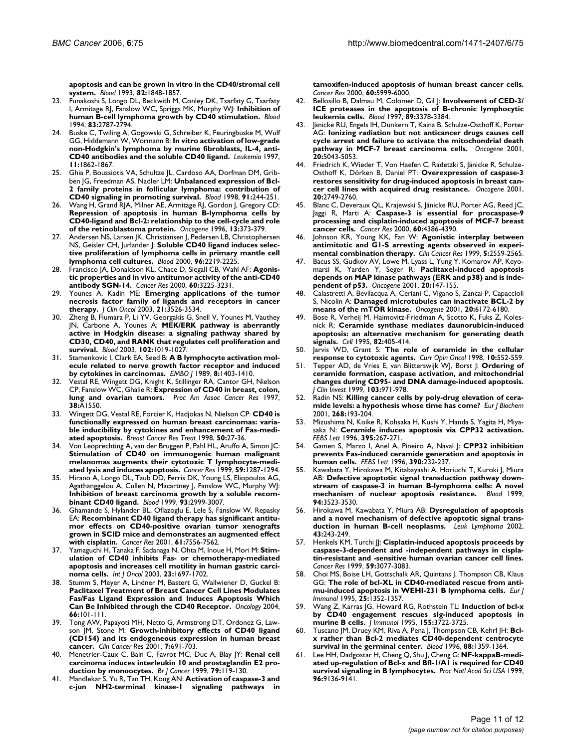**[apoptosis and can be grown in vitro in the CD40/stromal cell](http://www.ncbi.nlm.nih.gov/entrez/query.fcgi?cmd=Retrieve&db=PubMed&dopt=Abstract&list_uids=7691240) [system.](http://www.ncbi.nlm.nih.gov/entrez/query.fcgi?cmd=Retrieve&db=PubMed&dopt=Abstract&list_uids=7691240)** *Blood* 1993, **82:**1848-1857.

- 23. Funakoshi S, Longo DL, Beckwith M, Conley DK, Tsarfaty G, Tsarfaty I, Armitage RJ, Fanslow WC, Spriggs MK, Murphy WJ: **[Inhibition of](http://www.ncbi.nlm.nih.gov/entrez/query.fcgi?cmd=Retrieve&db=PubMed&dopt=Abstract&list_uids=7514045) [human B-cell lymphoma growth by CD40 stimulation.](http://www.ncbi.nlm.nih.gov/entrez/query.fcgi?cmd=Retrieve&db=PubMed&dopt=Abstract&list_uids=7514045)** *Blood* 1994, **83:**2787-2794.
- 24. Buske C, Twiling A, Gogowski G, Schreiber K, Feuringbuske M, Wulf GG, Hiddemann W, Wormann B: **[In vitro activation of low-grade](http://www.ncbi.nlm.nih.gov/entrez/query.fcgi?cmd=Retrieve&db=PubMed&dopt=Abstract&list_uids=9369419) [non-Hodgkin's lymphoma by murine fibroblasts, IL-4, anti-](http://www.ncbi.nlm.nih.gov/entrez/query.fcgi?cmd=Retrieve&db=PubMed&dopt=Abstract&list_uids=9369419)[CD40 antibodies and the soluble CD40 ligand.](http://www.ncbi.nlm.nih.gov/entrez/query.fcgi?cmd=Retrieve&db=PubMed&dopt=Abstract&list_uids=9369419)** *Leukemia* 1997, **11:**1862-1867.
- 25. Ghia P, Boussiotis VA, Schultze JL, Cardoso AA, Dorfman DM, Gribben JG, Freedman AS, Nadler LM: **[Unbalanced expression of Bcl-](http://www.ncbi.nlm.nih.gov/entrez/query.fcgi?cmd=Retrieve&db=PubMed&dopt=Abstract&list_uids=9414291)[2 family proteins in follicular lymphoma: contribution of](http://www.ncbi.nlm.nih.gov/entrez/query.fcgi?cmd=Retrieve&db=PubMed&dopt=Abstract&list_uids=9414291) [CD40 signaling in promoting survival.](http://www.ncbi.nlm.nih.gov/entrez/query.fcgi?cmd=Retrieve&db=PubMed&dopt=Abstract&list_uids=9414291)** *Blood* 1998, **91:**244-251.
- 26. Wang H, Grand RJA, Milner AE, Armitage RJ, Gordon J, Gregory CD: **Repression of apoptosis in human B-lymphoma cells by [CD40-ligand and Bcl-2: relationship to the cell-cycle and role](http://www.ncbi.nlm.nih.gov/entrez/query.fcgi?cmd=Retrieve&db=PubMed&dopt=Abstract&list_uids=8710376) [of the retinoblastoma protein.](http://www.ncbi.nlm.nih.gov/entrez/query.fcgi?cmd=Retrieve&db=PubMed&dopt=Abstract&list_uids=8710376)** *Oncogene* 1996, **13:**373-379.
- 27. Andersen NS, Larsen JK, Christiansen J, Pedersen LB, Christophersen NS, Geisler CH, Jurlander J: **[Soluble CD40 ligand induces selec](http://www.ncbi.nlm.nih.gov/entrez/query.fcgi?cmd=Retrieve&db=PubMed&dopt=Abstract&list_uids=10979969)[tive proliferation of lymphoma cells in primary mantle cell](http://www.ncbi.nlm.nih.gov/entrez/query.fcgi?cmd=Retrieve&db=PubMed&dopt=Abstract&list_uids=10979969) [lymphoma cell cultures.](http://www.ncbi.nlm.nih.gov/entrez/query.fcgi?cmd=Retrieve&db=PubMed&dopt=Abstract&list_uids=10979969)** *Blood* 2000, **96:**2219-2225.
- 28. Francisco JA, Donaldson KL, Chace D, Siegall CB, Wahl AF: **[Agonis](http://www.ncbi.nlm.nih.gov/entrez/query.fcgi?cmd=Retrieve&db=PubMed&dopt=Abstract&list_uids=10866315)[tic properties and in vivo antitumor activity of the anti-CD40](http://www.ncbi.nlm.nih.gov/entrez/query.fcgi?cmd=Retrieve&db=PubMed&dopt=Abstract&list_uids=10866315) [antibody SGN-14.](http://www.ncbi.nlm.nih.gov/entrez/query.fcgi?cmd=Retrieve&db=PubMed&dopt=Abstract&list_uids=10866315)** *Cancer Res* 2000, **60:**3225-3231.
- 29. Younes A, Kadin ME: **[Emerging applications of the tumor](http://www.ncbi.nlm.nih.gov/entrez/query.fcgi?cmd=Retrieve&db=PubMed&dopt=Abstract&list_uids=12972530) [necrosis factor family of ligands and receptors in cancer](http://www.ncbi.nlm.nih.gov/entrez/query.fcgi?cmd=Retrieve&db=PubMed&dopt=Abstract&list_uids=12972530) [therapy.](http://www.ncbi.nlm.nih.gov/entrez/query.fcgi?cmd=Retrieve&db=PubMed&dopt=Abstract&list_uids=12972530)** *J Clin Oncol* 2003, **21:**3526-3534.
- 30. Zheng B, Fiumara P, Li YV, Georgakis G, Snell V, Younes M, Vauthey JN, Carbone A, Younes A: **[MEK/ERK pathway is aberrantly](http://www.ncbi.nlm.nih.gov/entrez/query.fcgi?cmd=Retrieve&db=PubMed&dopt=Abstract&list_uids=12689928) active in Hodgkin disease: a signaling pathway shared by [CD30, CD40, and RANK that regulates cell proliferation and](http://www.ncbi.nlm.nih.gov/entrez/query.fcgi?cmd=Retrieve&db=PubMed&dopt=Abstract&list_uids=12689928) [survival.](http://www.ncbi.nlm.nih.gov/entrez/query.fcgi?cmd=Retrieve&db=PubMed&dopt=Abstract&list_uids=12689928)** *Blood* 2003, **102:**1019-1027.
- 31. Stamenkovic I, Clark EA, Seed B: **[A B lymphocyte activation mol](http://www.ncbi.nlm.nih.gov/entrez/query.fcgi?cmd=Retrieve&db=PubMed&dopt=Abstract&list_uids=2475341)[ecule related to nerve growth factor receptor and induced](http://www.ncbi.nlm.nih.gov/entrez/query.fcgi?cmd=Retrieve&db=PubMed&dopt=Abstract&list_uids=2475341) [by cytokines in carcinomas.](http://www.ncbi.nlm.nih.gov/entrez/query.fcgi?cmd=Retrieve&db=PubMed&dopt=Abstract&list_uids=2475341)** *EMBO J* 1989, **8:**1403-1410.
- 32. Vestal RE, Wingett DG, Knight K, Stillinger RA, Cantor GH, Nielson CP, Fanslow WC, Ghalie R: **Expression of CD40 in breast, colon, lung and ovarian tumors.** *Proc Am Assoc Cancer Res* 1997, **38:**A1550.
- 33. Wingett DG, Vestal RE, Forcier K, Hadjokas N, Nielson CP: **[CD40 is](http://www.ncbi.nlm.nih.gov/entrez/query.fcgi?cmd=Retrieve&db=PubMed&dopt=Abstract&list_uids=9802617) functionally expressed on human breast carcinomas: varia[ble inducibility by cytokines and enhancement of Fas-medi](http://www.ncbi.nlm.nih.gov/entrez/query.fcgi?cmd=Retrieve&db=PubMed&dopt=Abstract&list_uids=9802617)[ated apoptosis.](http://www.ncbi.nlm.nih.gov/entrez/query.fcgi?cmd=Retrieve&db=PubMed&dopt=Abstract&list_uids=9802617)** *Breast Cancer Res Treat* 1998, **50:**27-36.
- 34. Von Leoprechting A, van der Bruggen P, Pahl HL, Aruffo A, Simon JC: **Stimulation of CD40 on immunogenic human malignant [melanomas augments their cytotoxic T lymphocyte-medi](http://www.ncbi.nlm.nih.gov/entrez/query.fcgi?cmd=Retrieve&db=PubMed&dopt=Abstract&list_uids=10096561)[ated lysis and induces apoptosis.](http://www.ncbi.nlm.nih.gov/entrez/query.fcgi?cmd=Retrieve&db=PubMed&dopt=Abstract&list_uids=10096561)** *Cancer Res* 1999, **59:**1287-1294.
- 35. Hirano A, Longo DL, Taub DD, Ferris DK, Young LS, Eliopoulos AG, Agathanggelou A, Cullen N, Macartney J, Fanslow WC, Murphy WJ: **[Inhibition of breast carcinoma growth by a soluble recom](http://www.ncbi.nlm.nih.gov/entrez/query.fcgi?cmd=Retrieve&db=PubMed&dopt=Abstract&list_uids=10216096)[binant CD40 ligand.](http://www.ncbi.nlm.nih.gov/entrez/query.fcgi?cmd=Retrieve&db=PubMed&dopt=Abstract&list_uids=10216096)** *Blood* 1999, **93:**2999-3007.
- Ghamande S, Hylander BL, Oflazoglu E, Lele S, Fanslow W, Repasky EA: **[Recombinant CD40 ligand therapy has significant antitu](http://www.ncbi.nlm.nih.gov/entrez/query.fcgi?cmd=Retrieve&db=PubMed&dopt=Abstract&list_uids=11606394)mor effects on CD40-positive ovarian tumor xenografts [grown in SCID mice and demonstrates an augmented effect](http://www.ncbi.nlm.nih.gov/entrez/query.fcgi?cmd=Retrieve&db=PubMed&dopt=Abstract&list_uids=11606394) [with cisplatin.](http://www.ncbi.nlm.nih.gov/entrez/query.fcgi?cmd=Retrieve&db=PubMed&dopt=Abstract&list_uids=11606394)** *Cancer Res* 2001, **61:**7556-7562.
- 37. Yamaguchi H, Tanaka F, Sadanaga N, Ohta M, Inoue H, Mori M: **[Stim](http://www.ncbi.nlm.nih.gov/entrez/query.fcgi?cmd=Retrieve&db=PubMed&dopt=Abstract&list_uids=14612943)ulation of CD40 inhibits Fas- or chemotherapy-mediated [apoptosis and increases cell motility in human gastric carci](http://www.ncbi.nlm.nih.gov/entrez/query.fcgi?cmd=Retrieve&db=PubMed&dopt=Abstract&list_uids=14612943)[noma cells.](http://www.ncbi.nlm.nih.gov/entrez/query.fcgi?cmd=Retrieve&db=PubMed&dopt=Abstract&list_uids=14612943)** *Int J Oncol* 2003, **23:**1697-1702.
- Stumm S, Meyer A, Lindner M, Bastert G, Wallwiener D, Guckel B: **Paclitaxel Treatment of Breast Cancer Cell Lines Modulates [Fas/Fas Ligand Expression and Induces Apoptosis Which](http://www.ncbi.nlm.nih.gov/entrez/query.fcgi?cmd=Retrieve&db=PubMed&dopt=Abstract&list_uids=15138361) [Can Be Inhibited through the CD40 Receptor.](http://www.ncbi.nlm.nih.gov/entrez/query.fcgi?cmd=Retrieve&db=PubMed&dopt=Abstract&list_uids=15138361)** *Oncology* 2004, **66:**101-111.
- 39. Tong AW, Papayoti MH, Netto G, Armstrong DT, Ordonez G, Lawson JM, Stone M: **[Growth-inhibitory effects of CD40 ligand](http://www.ncbi.nlm.nih.gov/entrez/query.fcgi?cmd=Retrieve&db=PubMed&dopt=Abstract&list_uids=11297266) [\(CD154\) and its endogeneous expression in human breast](http://www.ncbi.nlm.nih.gov/entrez/query.fcgi?cmd=Retrieve&db=PubMed&dopt=Abstract&list_uids=11297266) [cancer.](http://www.ncbi.nlm.nih.gov/entrez/query.fcgi?cmd=Retrieve&db=PubMed&dopt=Abstract&list_uids=11297266)** *Clin Cancer Res* 2001, **7:**691-703.
- 40. Menetrier-Caux C, Bain C, Favrot MC, Duc A, Blay JY: **[Renal cell](http://www.ncbi.nlm.nih.gov/entrez/query.fcgi?cmd=Retrieve&db=PubMed&dopt=Abstract&list_uids=10408703) [carcinoma induces interleukin 10 and prostaglandin E2 pro](http://www.ncbi.nlm.nih.gov/entrez/query.fcgi?cmd=Retrieve&db=PubMed&dopt=Abstract&list_uids=10408703)[duction by monoocytes.](http://www.ncbi.nlm.nih.gov/entrez/query.fcgi?cmd=Retrieve&db=PubMed&dopt=Abstract&list_uids=10408703)** Br J Cancer 1999, 79:119-130.
- 41. Mandlekar S, Yu R, Tan TH, Kong AN: **Activation of caspase-3 and c-jun NH2-terminal kinase-1 signaling pathways in**

**tamoxifen-induced apoptosis of human breast cancer cells.** *Cancer Res* 2000, **60:**5999-6000.

- 42. Bellosillo B, Dalmau M, Colomer D, Gil J: **[Involvement of CED-3/](http://www.ncbi.nlm.nih.gov/entrez/query.fcgi?cmd=Retrieve&db=PubMed&dopt=Abstract&list_uids=9129045) [ICE proteases in the apoptosis of B-chronic lymphocytic](http://www.ncbi.nlm.nih.gov/entrez/query.fcgi?cmd=Retrieve&db=PubMed&dopt=Abstract&list_uids=9129045) [leukemia cells.](http://www.ncbi.nlm.nih.gov/entrez/query.fcgi?cmd=Retrieve&db=PubMed&dopt=Abstract&list_uids=9129045)** *Blood* 1997, **89:**3378-3384.
- 43. Jänicke RU, Engels IH, Dunkern T, Kaina B, Schulze-Osthoff K, Porter AG: **[Ionizing radiation but not anticancer drugs causes cell](http://www.ncbi.nlm.nih.gov/entrez/query.fcgi?cmd=Retrieve&db=PubMed&dopt=Abstract&list_uids=11526489) [cycle arrest and failure to activate the mitochondrial death](http://www.ncbi.nlm.nih.gov/entrez/query.fcgi?cmd=Retrieve&db=PubMed&dopt=Abstract&list_uids=11526489) [pathway in MCF-7 breast carcinoma cells.](http://www.ncbi.nlm.nih.gov/entrez/query.fcgi?cmd=Retrieve&db=PubMed&dopt=Abstract&list_uids=11526489)** *Oncogene* 2001, **20:**5043-5053.
- 44. Friedrich K, Wieder T, Von Haefen C, Radetzki S, Jänicke R, Schulze-Osthoff K, Dörken B, Daniel PT: **[Overexpression of caspase-3](http://www.ncbi.nlm.nih.gov/entrez/query.fcgi?cmd=Retrieve&db=PubMed&dopt=Abstract&list_uids=11420687) [restores sensitivity for drug-induced apoptosis in breast can](http://www.ncbi.nlm.nih.gov/entrez/query.fcgi?cmd=Retrieve&db=PubMed&dopt=Abstract&list_uids=11420687)[cer cell lines with acquired drug resistance.](http://www.ncbi.nlm.nih.gov/entrez/query.fcgi?cmd=Retrieve&db=PubMed&dopt=Abstract&list_uids=11420687)** *Oncogene* 2001, **20:**2749-2760.
- 45. Blanc C, Deveraux QL, Krajewski S, Jänicke RU, Porter AG, Reed JC, Jaggi R, Marti A: **[Caspase-3 is essential for procaspase-9](http://www.ncbi.nlm.nih.gov/entrez/query.fcgi?cmd=Retrieve&db=PubMed&dopt=Abstract&list_uids=10969782) [processing and cisplatin-induced apoptosis of MCF-7 breast](http://www.ncbi.nlm.nih.gov/entrez/query.fcgi?cmd=Retrieve&db=PubMed&dopt=Abstract&list_uids=10969782) [cancer cells.](http://www.ncbi.nlm.nih.gov/entrez/query.fcgi?cmd=Retrieve&db=PubMed&dopt=Abstract&list_uids=10969782)** *Cancer Res* 2000, **60:**4386-4390.
- 46. Johnson KR, Young KK, Fan W: **[Agonistic interplay between](http://www.ncbi.nlm.nih.gov/entrez/query.fcgi?cmd=Retrieve&db=PubMed&dopt=Abstract&list_uids=10499633) [antimitotic and G1-S arresting agents observed in experi](http://www.ncbi.nlm.nih.gov/entrez/query.fcgi?cmd=Retrieve&db=PubMed&dopt=Abstract&list_uids=10499633)[mental combination therapy.](http://www.ncbi.nlm.nih.gov/entrez/query.fcgi?cmd=Retrieve&db=PubMed&dopt=Abstract&list_uids=10499633)** *Clin Cancer Res* 1999, **5:**2559-2565.
- 47. Bacus SS, Gudkov AV, Lowe M, Lyass L, Yung Y, Komarov AP, Keyomarsi K, Yarden Y, Seger R: **[Paclitaxel-induced apoptosis](http://www.ncbi.nlm.nih.gov/entrez/query.fcgi?cmd=Retrieve&db=PubMed&dopt=Abstract&list_uids=11313944) [depends on MAP kinase pathways \(ERK and p38\) and is inde](http://www.ncbi.nlm.nih.gov/entrez/query.fcgi?cmd=Retrieve&db=PubMed&dopt=Abstract&list_uids=11313944)[pendent of p53.](http://www.ncbi.nlm.nih.gov/entrez/query.fcgi?cmd=Retrieve&db=PubMed&dopt=Abstract&list_uids=11313944)** *Oncogene* 2001, **20:**147-155.
- 48. Calastretti A, Bevilacqua A, Ceriani C, Vigano S, Zancai P, Capaccioli S, Nicolin A: **[Damaged microtubules can inactivate BCL-2 by](http://www.ncbi.nlm.nih.gov/entrez/query.fcgi?cmd=Retrieve&db=PubMed&dopt=Abstract&list_uids=11593425) [means of the mTOR kinase.](http://www.ncbi.nlm.nih.gov/entrez/query.fcgi?cmd=Retrieve&db=PubMed&dopt=Abstract&list_uids=11593425)** *Oncogene* 2001, **20:**6172-6180.
- 49. Bose R, Verheij M, Haimovitz-Friedman A, Scotto K, Fuks Z, Kolesnick R: **[Ceramide synthase mediates daunorubicin-induced](http://www.ncbi.nlm.nih.gov/entrez/query.fcgi?cmd=Retrieve&db=PubMed&dopt=Abstract&list_uids=7634330) [apoptosis: an alternative mechanism for generating death](http://www.ncbi.nlm.nih.gov/entrez/query.fcgi?cmd=Retrieve&db=PubMed&dopt=Abstract&list_uids=7634330) [signals.](http://www.ncbi.nlm.nih.gov/entrez/query.fcgi?cmd=Retrieve&db=PubMed&dopt=Abstract&list_uids=7634330)** *Cell* 1995, **82:**405-414.
- 50. Jarvis WD, Grant S: **[The role of ceramide in the cellular](http://www.ncbi.nlm.nih.gov/entrez/query.fcgi?cmd=Retrieve&db=PubMed&dopt=Abstract&list_uids=9818235) [response to cytotoxic agents.](http://www.ncbi.nlm.nih.gov/entrez/query.fcgi?cmd=Retrieve&db=PubMed&dopt=Abstract&list_uids=9818235)** *Curr Opin Oncol* 1998, **10:**552-559.
- 51. Tepper AD, de Vries E, van Blitterswijk WJ, Borst J: **[Ordering of](http://www.ncbi.nlm.nih.gov/entrez/query.fcgi?cmd=Retrieve&db=PubMed&dopt=Abstract&list_uids=10194469) ceramide formation, caspase activation, and mitochondrial [changes during CD95- and DNA damage-induced apoptosis.](http://www.ncbi.nlm.nih.gov/entrez/query.fcgi?cmd=Retrieve&db=PubMed&dopt=Abstract&list_uids=10194469)** *J Clin Invest* 1999, **103:**971-978.
- 52. Radin NS: **[Killing cancer cells by poly-drug elevation of cera](http://www.ncbi.nlm.nih.gov/entrez/query.fcgi?cmd=Retrieve&db=PubMed&dopt=Abstract&list_uids=11168352)[mide levels: a hypothesis whose time has come?](http://www.ncbi.nlm.nih.gov/entrez/query.fcgi?cmd=Retrieve&db=PubMed&dopt=Abstract&list_uids=11168352)** *Eur J Biochem* 2001, **268:**193-204.
- 53. Mizushima N, Koike R, Kohsaka H, Kushi Y, Handa S, Yagita H, Miyasaka N: **[Ceramide induces apoptosis via CPP32 activation.](http://www.ncbi.nlm.nih.gov/entrez/query.fcgi?cmd=Retrieve&db=PubMed&dopt=Abstract&list_uids=8898109)** *FEBS Lett* 1996, **395:**267-271.
- 54. Gamen S, Marzo I, Anel A, Pineiro A, Naval J: **[CPP32 inhibition](http://www.ncbi.nlm.nih.gov/entrez/query.fcgi?cmd=Retrieve&db=PubMed&dopt=Abstract&list_uids=8706867) [prevents Fas-induced ceramide generation and apoptosis in](http://www.ncbi.nlm.nih.gov/entrez/query.fcgi?cmd=Retrieve&db=PubMed&dopt=Abstract&list_uids=8706867) [human cells.](http://www.ncbi.nlm.nih.gov/entrez/query.fcgi?cmd=Retrieve&db=PubMed&dopt=Abstract&list_uids=8706867)** *FEBS Lett* 1996, **390:**232-237.
- 55. Kawabata Y, Hirokawa M, Kitabayashi A, Horiuchi T, Kuroki J, Miura AB: **[Defective apoptotic signal transduction pathway down](http://www.ncbi.nlm.nih.gov/entrez/query.fcgi?cmd=Retrieve&db=PubMed&dopt=Abstract&list_uids=10552963)[stream of caspase-3 in human B-lymphoma cells: A novel](http://www.ncbi.nlm.nih.gov/entrez/query.fcgi?cmd=Retrieve&db=PubMed&dopt=Abstract&list_uids=10552963) [mechanism of nuclear apoptosis resistance.](http://www.ncbi.nlm.nih.gov/entrez/query.fcgi?cmd=Retrieve&db=PubMed&dopt=Abstract&list_uids=10552963)** *Blood* 1999, **94:**3523-3530.
- 56. Hirokawa M, Kawabata Y, Miura AB: **[Dysregulation of apoptosis](http://www.ncbi.nlm.nih.gov/entrez/query.fcgi?cmd=Retrieve&db=PubMed&dopt=Abstract&list_uids=11999553) [and a novel mechanism of defective apoptotic signal trans](http://www.ncbi.nlm.nih.gov/entrez/query.fcgi?cmd=Retrieve&db=PubMed&dopt=Abstract&list_uids=11999553)[duction in human B-cell neoplasms.](http://www.ncbi.nlm.nih.gov/entrez/query.fcgi?cmd=Retrieve&db=PubMed&dopt=Abstract&list_uids=11999553)** *Leuk Lymphoma* 2002, **43:**243-249.
- 57. Henkels KM, Turchi JJ: [Cisplatin-induced apoptosis proceeds by](http://www.ncbi.nlm.nih.gov/entrez/query.fcgi?cmd=Retrieve&db=PubMed&dopt=Abstract&list_uids=10397248) **caspase-3-dependent and -independent pathways in cispla[tin-resistant and -sensitive human ovarian cancer cell lines.](http://www.ncbi.nlm.nih.gov/entrez/query.fcgi?cmd=Retrieve&db=PubMed&dopt=Abstract&list_uids=10397248)** *Cancer Res* 1999, **59:**3077-3083.
- 58. Choi MS, Boise LH, Gottschalk AR, Quintans J, Thompson CB, Klaus GG: **[The role of bcl-XL in CD40-mediated rescue from anti](http://www.ncbi.nlm.nih.gov/entrez/query.fcgi?cmd=Retrieve&db=PubMed&dopt=Abstract&list_uids=7539757)[mu-induced apoptosis in WEHI-231 B lymphoma cells.](http://www.ncbi.nlm.nih.gov/entrez/query.fcgi?cmd=Retrieve&db=PubMed&dopt=Abstract&list_uids=7539757)** *Eur J Immunol* 1995, **25:**1352-1357.
- 59. Wang Z, Karras JG, Howard RG, Rothstein TL: **[Induction of bcl-x](http://www.ncbi.nlm.nih.gov/entrez/query.fcgi?cmd=Retrieve&db=PubMed&dopt=Abstract&list_uids=7561075) [by CD40 engagement rescues sIg-induced apoptosis in](http://www.ncbi.nlm.nih.gov/entrez/query.fcgi?cmd=Retrieve&db=PubMed&dopt=Abstract&list_uids=7561075) [murine B cells.](http://www.ncbi.nlm.nih.gov/entrez/query.fcgi?cmd=Retrieve&db=PubMed&dopt=Abstract&list_uids=7561075)** *J Immunol* 1995, **155:**3722-3725.
- 60. Tuscano JM, Druey KM, Riva A, Pena J, Thompson CB, Kehrl JH: **[Bcl](http://www.ncbi.nlm.nih.gov/entrez/query.fcgi?cmd=Retrieve&db=PubMed&dopt=Abstract&list_uids=8695854)[x rather than Bcl-2 mediates CD40-dependent centrocyte](http://www.ncbi.nlm.nih.gov/entrez/query.fcgi?cmd=Retrieve&db=PubMed&dopt=Abstract&list_uids=8695854) [survival in the germinal center.](http://www.ncbi.nlm.nih.gov/entrez/query.fcgi?cmd=Retrieve&db=PubMed&dopt=Abstract&list_uids=8695854)** *Blood* 1996, **88:**1359-1364.
- 61. Lee HH, Dadgostar H, Cheng Q, Shu J, Cheng G: **[NF-kappaB-medi](http://www.ncbi.nlm.nih.gov/entrez/query.fcgi?cmd=Retrieve&db=PubMed&dopt=Abstract&list_uids=10430908)[ated up-regulation of Bcl-x and Bfl-1/A1 is required for CD40](http://www.ncbi.nlm.nih.gov/entrez/query.fcgi?cmd=Retrieve&db=PubMed&dopt=Abstract&list_uids=10430908) [survival signaling in B lymphocytes.](http://www.ncbi.nlm.nih.gov/entrez/query.fcgi?cmd=Retrieve&db=PubMed&dopt=Abstract&list_uids=10430908)** *Proc Natl Acad Sci USA* 1999, **96:**9136-9141.